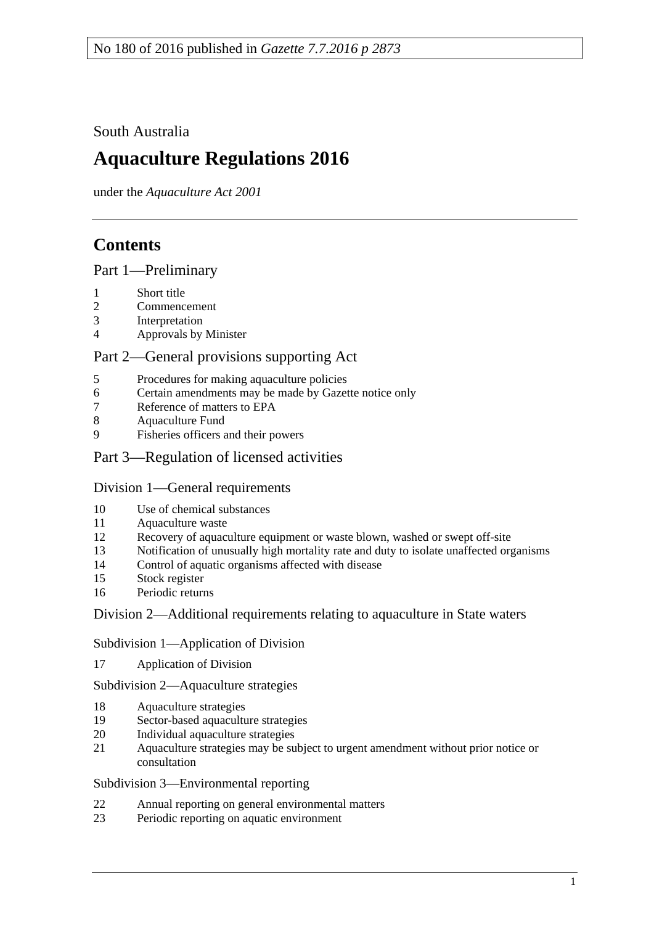South Australia

# **Aquaculture Regulations 2016**

under the *Aquaculture Act 2001*

# **Contents**

Part [1—Preliminary](#page-2-0)

- [Short title](#page-2-1)
- [Commencement](#page-2-2)
- [Interpretation](#page-2-3)
- [Approvals by Minister](#page-3-0)

# Part [2—General provisions supporting Act](#page-3-1)

- [Procedures for making aquaculture policies](#page-3-2)
- [Certain amendments may be made by Gazette notice only](#page-4-0)
- [Reference of matters to EPA](#page-4-1)
- [Aquaculture Fund](#page-4-2)
- [Fisheries officers and](#page-4-3) their powers

# Part [3—Regulation of licensed activities](#page-5-0)

#### Division [1—General requirements](#page-5-1)

- [Use of chemical substances](#page-5-2)
- [Aquaculture waste](#page-5-3)
- [Recovery of aquaculture equipment or waste blown, washed or swept off-site](#page-6-0)
- [Notification of unusually high mortality rate and duty to isolate unaffected organisms](#page-6-1)
- [Control of aquatic organisms affected with disease](#page-7-0)
- [Stock register](#page-7-1)
- [Periodic returns](#page-9-0)

#### Division [2—Additional requirements relating to aquaculture in State waters](#page-9-1)

Subdivision [1—Application of Division](#page-9-2)

[Application of Division](#page-9-3)

Subdivision [2—Aquaculture strategies](#page-10-0)

- [Aquaculture strategies](#page-10-1)
- [Sector-based aquaculture strategies](#page-10-2)
- [Individual aquaculture strategies](#page-11-0)
- [Aquaculture strategies may be subject to urgent amendment without prior notice or](#page-11-1)  [consultation](#page-11-1)

#### Subdivision [3—Environmental reporting](#page-12-0)

- [Annual reporting on general environmental matters](#page-12-1)
- [Periodic reporting on aquatic environment](#page-12-2)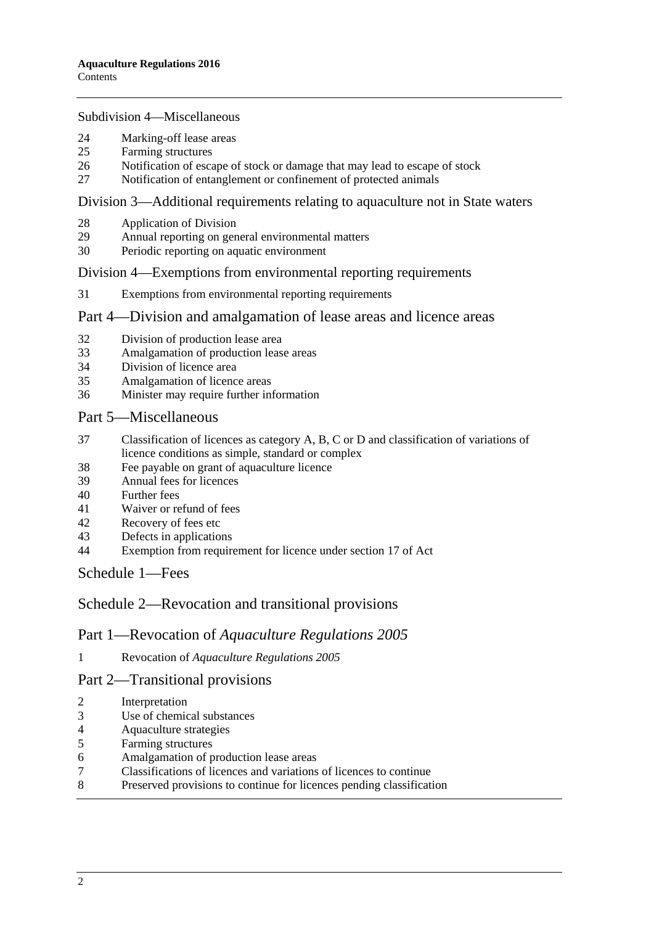#### Subdivision [4—Miscellaneous](#page-13-0)

- [Marking-off lease areas](#page-13-1)
- [Farming structures](#page-13-2)
- [Notification of escape of stock or damage that may lead to escape of stock](#page-14-0)
- [Notification of entanglement or confinement of protected animals](#page-15-0)

#### Division [3—Additional requirements relating to aquaculture not in State waters](#page-15-1)

- [Application of Division](#page-15-2)<br>29 Annual reporting on gen
- [Annual reporting on general environmental matters](#page-15-3)<br>30 Periodic reporting on aquatic environment
- [Periodic reporting on aquatic environment](#page-16-0)

#### Division [4—Exemptions from environmental reporting requirements](#page-17-0)

[Exemptions from environmental reporting requirements](#page-17-1)

#### Part [4—Division and amalgamation of lease areas and licence areas](#page-18-0)

- [Division of production lease area](#page-18-1)
- [Amalgamation of production lease areas](#page-19-0)
- [Division of licence area](#page-20-0)
- [Amalgamation of licence areas](#page-20-1)
- [Minister may require further information](#page-21-0)

#### Part [5—Miscellaneous](#page-21-1)

- [Classification of licences as category A, B, C or D and classification of variations of](#page-21-2)  [licence conditions as simple, standard or complex](#page-21-2)
- [Fee payable on grant of aquaculture licence](#page-22-0)
- [Annual fees for licences](#page-22-1)
- [Further fees](#page-23-0)
- [Waiver or refund of fees](#page-23-1)
- [Recovery of fees etc](#page-23-2)
- [Defects in applications](#page-23-3)
- [Exemption from requirement for licence under section 17 of Act](#page-23-4)

[Schedule](#page-24-0) 1—Fees

#### Schedule [2—Revocation and transitional provisions](#page-26-0)

#### Part 1—Revocation of *Aquaculture Regulations 2005*

Revocation of *[Aquaculture Regulations](#page-26-1) 2005*

#### Part 2—Transitional provisions

- [Interpretation](#page-27-0)
- [Use of chemical substances](#page-27-1)
- [Aquaculture strategies](#page-27-2)
- [Farming structures](#page-27-3)
- [Amalgamation of production](#page-27-4) lease areas
- [Classifications of licences and variations of licences to continue](#page-27-5)
- [Preserved provisions to continue for licences pending classification](#page-28-0)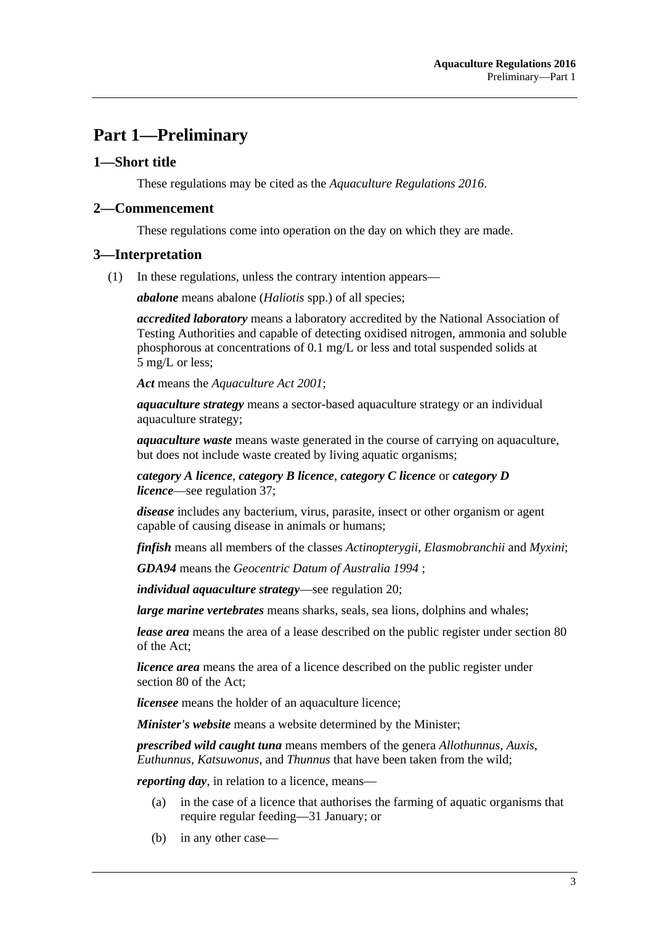# <span id="page-2-0"></span>**Part 1—Preliminary**

#### <span id="page-2-1"></span>**1—Short title**

These regulations may be cited as the *Aquaculture Regulations 2016*.

#### <span id="page-2-2"></span>**2—Commencement**

These regulations come into operation on the day on which they are made.

#### <span id="page-2-3"></span>**3—Interpretation**

(1) In these regulations, unless the contrary intention appears—

*abalone* means abalone (*Haliotis* spp.) of all species;

*accredited laboratory* means a laboratory accredited by the National Association of Testing Authorities and capable of detecting oxidised nitrogen, ammonia and soluble phosphorous at concentrations of 0.1 mg/L or less and total suspended solids at 5 mg/L or less;

*Act* means the *[Aquaculture Act](http://www.legislation.sa.gov.au/index.aspx?action=legref&type=act&legtitle=Aquaculture%20Act%202001) 2001*;

*aquaculture strategy* means a sector-based aquaculture strategy or an individual aquaculture strategy;

*aquaculture waste* means waste generated in the course of carrying on aquaculture, but does not include waste created by living aquatic organisms;

*category A licence*, *category B licence*, *category C licence* or *category D licence*—see [regulation](#page-21-2) 37;

*disease* includes any bacterium, virus, parasite, insect or other organism or agent capable of causing disease in animals or humans;

*finfish* means all members of the classes *Actinopterygii*, *Elasmobranchii* and *Myxini*;

*GDA94* means the *Geocentric Datum of Australia 1994* ;

*individual aquaculture strategy*—see [regulation](#page-11-0) 20;

*large marine vertebrates* means sharks, seals, sea lions, dolphins and whales;

*lease area* means the area of a lease described on the public register under section 80 of the Act;

*licence area* means the area of a licence described on the public register under section 80 of the Act;

*licensee* means the holder of an aquaculture licence;

*Minister's website* means a website determined by the Minister;

*prescribed wild caught tuna* means members of the genera *Allothunnus*, *Auxis*, *Euthunnus*, *Katsuwonus*, and *Thunnus* that have been taken from the wild;

*reporting day,* in relation to a licence, means—

- (a) in the case of a licence that authorises the farming of aquatic organisms that require regular feeding—31 January; or
- (b) in any other case—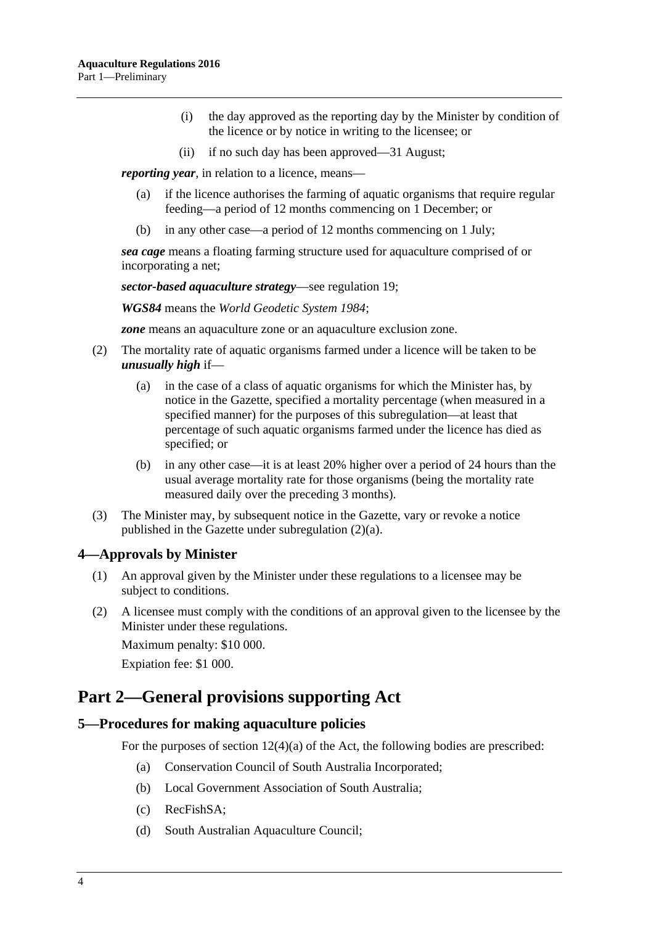- (i) the day approved as the reporting day by the Minister by condition of the licence or by notice in writing to the licensee; or
- (ii) if no such day has been approved—31 August;

*reporting year*, in relation to a licence, means—

- (a) if the licence authorises the farming of aquatic organisms that require regular feeding—a period of 12 months commencing on 1 December; or
- (b) in any other case—a period of 12 months commencing on 1 July;

*sea cage* means a floating farming structure used for aquaculture comprised of or incorporating a net;

*sector-based aquaculture strategy*—see [regulation](#page-10-2) 19;

*WGS84* means the *World Geodetic System 1984*;

*zone* means an aquaculture zone or an aquaculture exclusion zone.

- <span id="page-3-4"></span><span id="page-3-3"></span>(2) The mortality rate of aquatic organisms farmed under a licence will be taken to be *unusually high* if—
	- (a) in the case of a class of aquatic organisms for which the Minister has, by notice in the Gazette, specified a mortality percentage (when measured in a specified manner) for the purposes of this subregulation—at least that percentage of such aquatic organisms farmed under the licence has died as specified; or
	- (b) in any other case—it is at least 20% higher over a period of 24 hours than the usual average mortality rate for those organisms (being the mortality rate measured daily over the preceding 3 months).
- (3) The Minister may, by subsequent notice in the Gazette, vary or revoke a notice published in the Gazette under [subregulation](#page-3-3) (2)(a).

#### <span id="page-3-0"></span>**4—Approvals by Minister**

- (1) An approval given by the Minister under these regulations to a licensee may be subject to conditions.
- (2) A licensee must comply with the conditions of an approval given to the licensee by the Minister under these regulations.

Maximum penalty: \$10 000.

Expiation fee: \$1 000.

# <span id="page-3-1"></span>**Part 2—General provisions supporting Act**

#### <span id="page-3-2"></span>**5—Procedures for making aquaculture policies**

For the purposes of section  $12(4)(a)$  of the Act, the following bodies are prescribed:

- (a) Conservation Council of South Australia Incorporated;
- (b) Local Government Association of South Australia;
- (c) RecFishSA;
- (d) South Australian Aquaculture Council;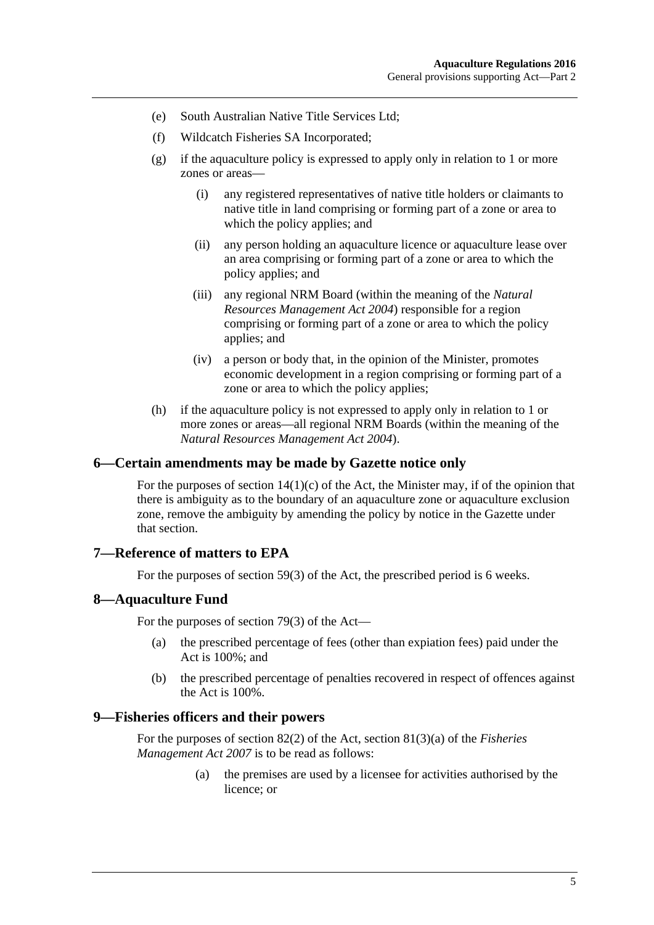- (e) South Australian Native Title Services Ltd;
- (f) Wildcatch Fisheries SA Incorporated;
- (g) if the aquaculture policy is expressed to apply only in relation to 1 or more zones or areas—
	- (i) any registered representatives of native title holders or claimants to native title in land comprising or forming part of a zone or area to which the policy applies; and
	- (ii) any person holding an aquaculture licence or aquaculture lease over an area comprising or forming part of a zone or area to which the policy applies; and
	- (iii) any regional NRM Board (within the meaning of the *[Natural](http://www.legislation.sa.gov.au/index.aspx?action=legref&type=act&legtitle=Natural%20Resources%20Management%20Act%202004)  [Resources Management Act](http://www.legislation.sa.gov.au/index.aspx?action=legref&type=act&legtitle=Natural%20Resources%20Management%20Act%202004) 2004*) responsible for a region comprising or forming part of a zone or area to which the policy applies; and
	- (iv) a person or body that, in the opinion of the Minister, promotes economic development in a region comprising or forming part of a zone or area to which the policy applies;
- (h) if the aquaculture policy is not expressed to apply only in relation to 1 or more zones or areas—all regional NRM Boards (within the meaning of the *[Natural Resources Management Act](http://www.legislation.sa.gov.au/index.aspx?action=legref&type=act&legtitle=Natural%20Resources%20Management%20Act%202004) 2004*).

#### <span id="page-4-0"></span>**6—Certain amendments may be made by Gazette notice only**

For the purposes of section  $14(1)(c)$  of the Act, the Minister may, if of the opinion that there is ambiguity as to the boundary of an aquaculture zone or aquaculture exclusion zone, remove the ambiguity by amending the policy by notice in the Gazette under that section.

#### <span id="page-4-1"></span>**7—Reference of matters to EPA**

For the purposes of section 59(3) of the Act, the prescribed period is 6 weeks.

#### <span id="page-4-2"></span>**8—Aquaculture Fund**

For the purposes of section 79(3) of the Act—

- (a) the prescribed percentage of fees (other than expiation fees) paid under the Act is 100%; and
- (b) the prescribed percentage of penalties recovered in respect of offences against the Act is 100%.

#### <span id="page-4-3"></span>**9—Fisheries officers and their powers**

For the purposes of section 82(2) of the Act, section 81(3)(a) of the *[Fisheries](http://www.legislation.sa.gov.au/index.aspx?action=legref&type=act&legtitle=Fisheries%20Management%20Act%202007)  [Management Act](http://www.legislation.sa.gov.au/index.aspx?action=legref&type=act&legtitle=Fisheries%20Management%20Act%202007) 2007* is to be read as follows:

> (a) the premises are used by a licensee for activities authorised by the licence; or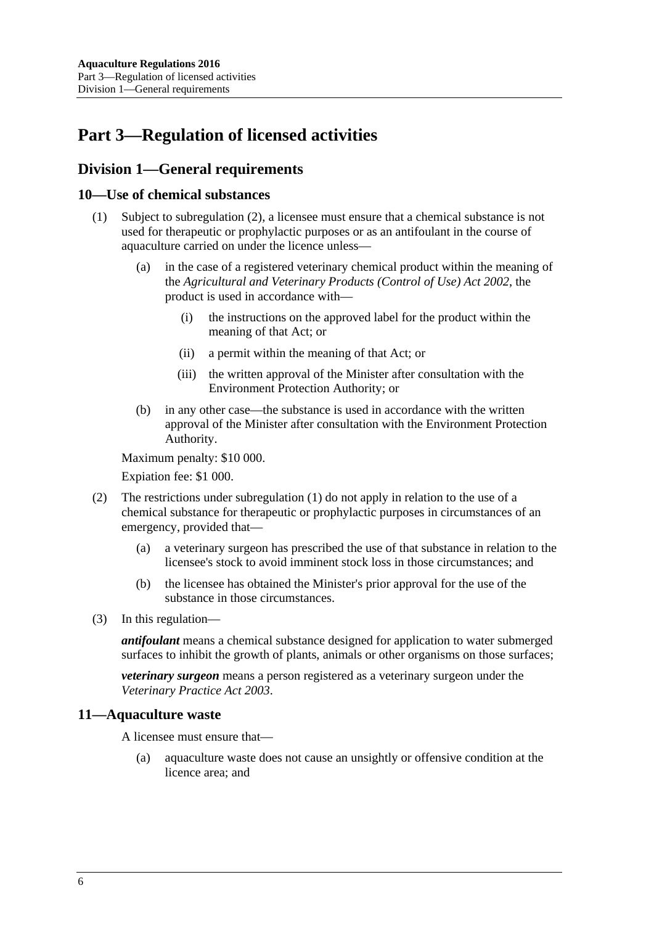# <span id="page-5-0"></span>**Part 3—Regulation of licensed activities**

# <span id="page-5-1"></span>**Division 1—General requirements**

#### <span id="page-5-5"></span><span id="page-5-2"></span>**10—Use of chemical substances**

- (1) Subject to [subregulation](#page-5-4) (2), a licensee must ensure that a chemical substance is not used for therapeutic or prophylactic purposes or as an antifoulant in the course of aquaculture carried on under the licence unless—
	- (a) in the case of a registered veterinary chemical product within the meaning of the *[Agricultural and Veterinary Products \(Control of Use\) Act](http://www.legislation.sa.gov.au/index.aspx?action=legref&type=act&legtitle=Agricultural%20and%20Veterinary%20Products%20(Control%20of%20Use)%20Act%202002) 2002*, the product is used in accordance with—
		- (i) the instructions on the approved label for the product within the meaning of that Act; or
		- (ii) a permit within the meaning of that Act; or
		- (iii) the written approval of the Minister after consultation with the Environment Protection Authority; or
	- (b) in any other case—the substance is used in accordance with the written approval of the Minister after consultation with the Environment Protection Authority.

<span id="page-5-6"></span>Maximum penalty: \$10 000.

Expiation fee: \$1 000.

- <span id="page-5-4"></span>(2) The restrictions under [subregulation](#page-5-5) (1) do not apply in relation to the use of a chemical substance for therapeutic or prophylactic purposes in circumstances of an emergency, provided that—
	- (a) a veterinary surgeon has prescribed the use of that substance in relation to the licensee's stock to avoid imminent stock loss in those circumstances; and
	- (b) the licensee has obtained the Minister's prior approval for the use of the substance in those circumstances.
- (3) In this regulation—

*antifoulant* means a chemical substance designed for application to water submerged surfaces to inhibit the growth of plants, animals or other organisms on those surfaces;

*veterinary surgeon* means a person registered as a veterinary surgeon under the *[Veterinary Practice Act](http://www.legislation.sa.gov.au/index.aspx?action=legref&type=act&legtitle=Veterinary%20Practice%20Act%202003) 2003*.

#### <span id="page-5-3"></span>**11—Aquaculture waste**

A licensee must ensure that—

(a) aquaculture waste does not cause an unsightly or offensive condition at the licence area; and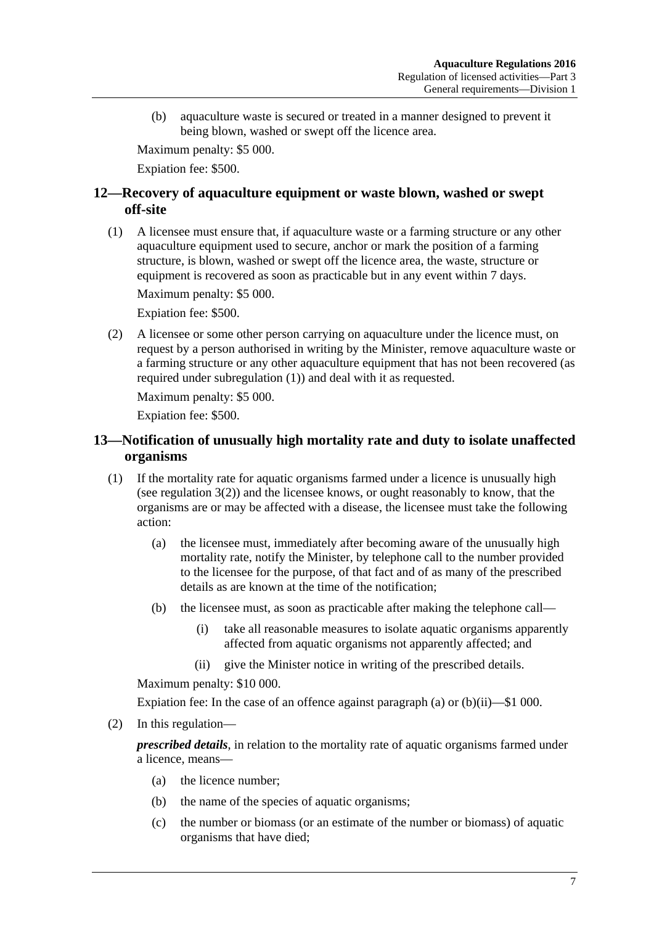(b) aquaculture waste is secured or treated in a manner designed to prevent it being blown, washed or swept off the licence area.

Maximum penalty: \$5 000.

Expiation fee: \$500.

### <span id="page-6-0"></span>**12—Recovery of aquaculture equipment or waste blown, washed or swept off-site**

<span id="page-6-2"></span>(1) A licensee must ensure that, if aquaculture waste or a farming structure or any other aquaculture equipment used to secure, anchor or mark the position of a farming structure, is blown, washed or swept off the licence area, the waste, structure or equipment is recovered as soon as practicable but in any event within 7 days.

Maximum penalty: \$5 000.

Expiation fee: \$500.

(2) A licensee or some other person carrying on aquaculture under the licence must, on request by a person authorised in writing by the Minister, remove aquaculture waste or a farming structure or any other aquaculture equipment that has not been recovered (as required under [subregulation](#page-6-2) (1)) and deal with it as requested.

Maximum penalty: \$5 000.

Expiation fee: \$500.

## <span id="page-6-1"></span>**13—Notification of unusually high mortality rate and duty to isolate unaffected organisms**

- <span id="page-6-5"></span><span id="page-6-3"></span>(1) If the mortality rate for aquatic organisms farmed under a licence is unusually high (see [regulation](#page-3-4) 3(2)) and the licensee knows, or ought reasonably to know, that the organisms are or may be affected with a disease, the licensee must take the following action:
	- (a) the licensee must, immediately after becoming aware of the unusually high mortality rate, notify the Minister, by telephone call to the number provided to the licensee for the purpose, of that fact and of as many of the prescribed details as are known at the time of the notification;
	- (b) the licensee must, as soon as practicable after making the telephone call—
		- (i) take all reasonable measures to isolate aquatic organisms apparently affected from aquatic organisms not apparently affected; and
		- (ii) give the Minister notice in writing of the prescribed details.

<span id="page-6-4"></span>Maximum penalty: \$10 000.

Expiation fee: In the case of an offence against [paragraph](#page-6-3) (a) or [\(b\)\(ii\)—](#page-6-4)\$1 000.

(2) In this regulation—

*prescribed details*, in relation to the mortality rate of aquatic organisms farmed under a licence, means—

- (a) the licence number;
- (b) the name of the species of aquatic organisms;
- (c) the number or biomass (or an estimate of the number or biomass) of aquatic organisms that have died;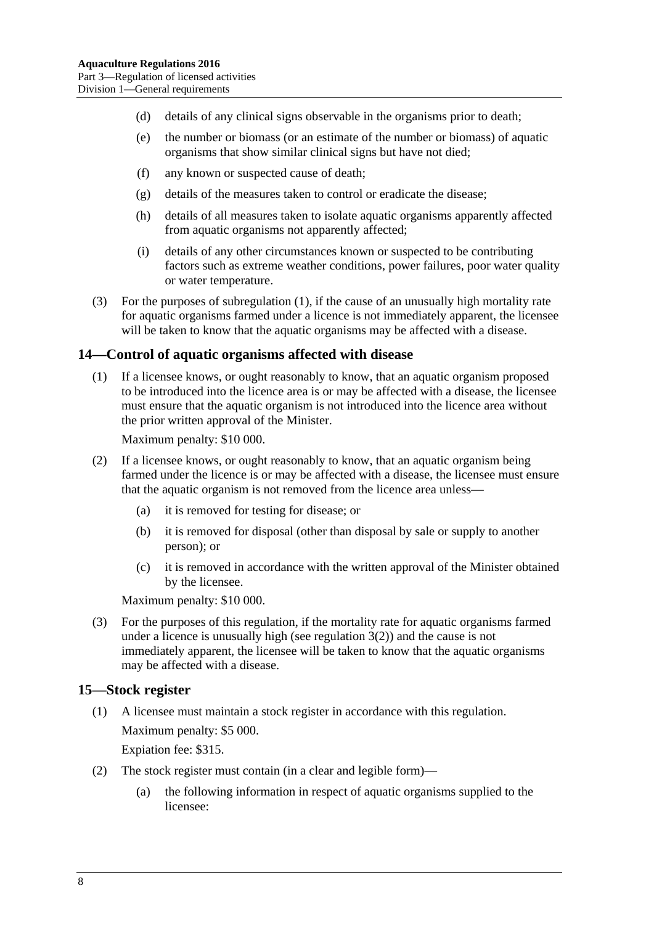- (d) details of any clinical signs observable in the organisms prior to death;
- (e) the number or biomass (or an estimate of the number or biomass) of aquatic organisms that show similar clinical signs but have not died;
- (f) any known or suspected cause of death;
- (g) details of the measures taken to control or eradicate the disease;
- (h) details of all measures taken to isolate aquatic organisms apparently affected from aquatic organisms not apparently affected;
- (i) details of any other circumstances known or suspected to be contributing factors such as extreme weather conditions, power failures, poor water quality or water temperature.
- (3) For the purposes of [subregulation](#page-6-5) (1), if the cause of an unusually high mortality rate for aquatic organisms farmed under a licence is not immediately apparent, the licensee will be taken to know that the aquatic organisms may be affected with a disease.

#### <span id="page-7-0"></span>**14—Control of aquatic organisms affected with disease**

(1) If a licensee knows, or ought reasonably to know, that an aquatic organism proposed to be introduced into the licence area is or may be affected with a disease, the licensee must ensure that the aquatic organism is not introduced into the licence area without the prior written approval of the Minister.

Maximum penalty: \$10 000.

- (2) If a licensee knows, or ought reasonably to know, that an aquatic organism being farmed under the licence is or may be affected with a disease, the licensee must ensure that the aquatic organism is not removed from the licence area unless—
	- (a) it is removed for testing for disease; or
	- (b) it is removed for disposal (other than disposal by sale or supply to another person); or
	- (c) it is removed in accordance with the written approval of the Minister obtained by the licensee.

Maximum penalty: \$10 000.

(3) For the purposes of this regulation, if the mortality rate for aquatic organisms farmed under a licence is unusually high (see [regulation](#page-3-4)  $3(2)$ ) and the cause is not immediately apparent, the licensee will be taken to know that the aquatic organisms may be affected with a disease.

#### <span id="page-7-1"></span>**15—Stock register**

(1) A licensee must maintain a stock register in accordance with this regulation. Maximum penalty: \$5 000.

Expiation fee: \$315.

- (2) The stock register must contain (in a clear and legible form)—
	- (a) the following information in respect of aquatic organisms supplied to the licensee: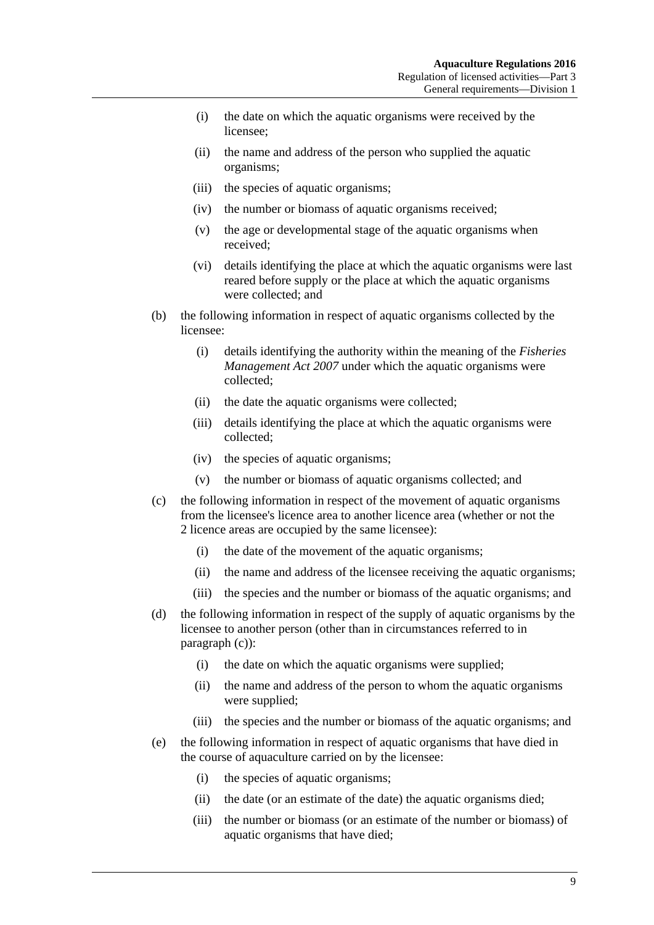- (i) the date on which the aquatic organisms were received by the licensee;
- (ii) the name and address of the person who supplied the aquatic organisms;
- (iii) the species of aquatic organisms;
- (iv) the number or biomass of aquatic organisms received;
- (v) the age or developmental stage of the aquatic organisms when received;
- (vi) details identifying the place at which the aquatic organisms were last reared before supply or the place at which the aquatic organisms were collected; and
- (b) the following information in respect of aquatic organisms collected by the licensee:
	- (i) details identifying the authority within the meaning of the *[Fisheries](http://www.legislation.sa.gov.au/index.aspx?action=legref&type=act&legtitle=Fisheries%20Management%20Act%202007)  [Management Act](http://www.legislation.sa.gov.au/index.aspx?action=legref&type=act&legtitle=Fisheries%20Management%20Act%202007) 2007* under which the aquatic organisms were collected;
	- (ii) the date the aquatic organisms were collected;
	- (iii) details identifying the place at which the aquatic organisms were collected;
	- (iv) the species of aquatic organisms;
	- (v) the number or biomass of aquatic organisms collected; and
- <span id="page-8-0"></span>(c) the following information in respect of the movement of aquatic organisms from the licensee's licence area to another licence area (whether or not the 2 licence areas are occupied by the same licensee):
	- (i) the date of the movement of the aquatic organisms;
	- (ii) the name and address of the licensee receiving the aquatic organisms;
	- (iii) the species and the number or biomass of the aquatic organisms; and
- (d) the following information in respect of the supply of aquatic organisms by the licensee to another person (other than in circumstances referred to in [paragraph](#page-8-0) (c)):
	- (i) the date on which the aquatic organisms were supplied;
	- (ii) the name and address of the person to whom the aquatic organisms were supplied;
	- (iii) the species and the number or biomass of the aquatic organisms; and
- (e) the following information in respect of aquatic organisms that have died in the course of aquaculture carried on by the licensee:
	- (i) the species of aquatic organisms;
	- (ii) the date (or an estimate of the date) the aquatic organisms died;
	- (iii) the number or biomass (or an estimate of the number or biomass) of aquatic organisms that have died;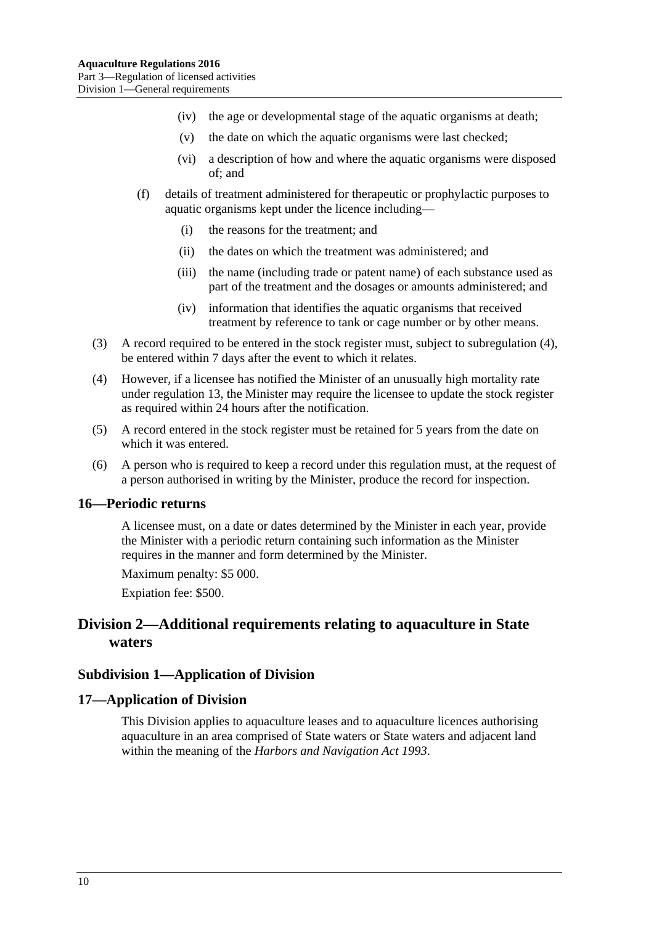- (iv) the age or developmental stage of the aquatic organisms at death;
- (v) the date on which the aquatic organisms were last checked;
- (vi) a description of how and where the aquatic organisms were disposed of; and
- (f) details of treatment administered for therapeutic or prophylactic purposes to aquatic organisms kept under the licence including—
	- (i) the reasons for the treatment; and
	- (ii) the dates on which the treatment was administered; and
	- (iii) the name (including trade or patent name) of each substance used as part of the treatment and the dosages or amounts administered; and
	- (iv) information that identifies the aquatic organisms that received treatment by reference to tank or cage number or by other means.
- (3) A record required to be entered in the stock register must, subject to [subregulation](#page-9-4) (4), be entered within 7 days after the event to which it relates.
- <span id="page-9-4"></span>(4) However, if a licensee has notified the Minister of an unusually high mortality rate under [regulation](#page-6-1) 13, the Minister may require the licensee to update the stock register as required within 24 hours after the notification.
- (5) A record entered in the stock register must be retained for 5 years from the date on which it was entered.
- (6) A person who is required to keep a record under this regulation must, at the request of a person authorised in writing by the Minister, produce the record for inspection.

#### <span id="page-9-0"></span>**16—Periodic returns**

A licensee must, on a date or dates determined by the Minister in each year, provide the Minister with a periodic return containing such information as the Minister requires in the manner and form determined by the Minister.

Maximum penalty: \$5 000.

Expiation fee: \$500.

# <span id="page-9-1"></span>**Division 2—Additional requirements relating to aquaculture in State waters**

#### <span id="page-9-2"></span>**Subdivision 1—Application of Division**

#### <span id="page-9-3"></span>**17—Application of Division**

This Division applies to aquaculture leases and to aquaculture licences authorising aquaculture in an area comprised of State waters or State waters and adjacent land within the meaning of the *[Harbors and Navigation Act](http://www.legislation.sa.gov.au/index.aspx?action=legref&type=act&legtitle=Harbors%20and%20Navigation%20Act%201993) 1993*.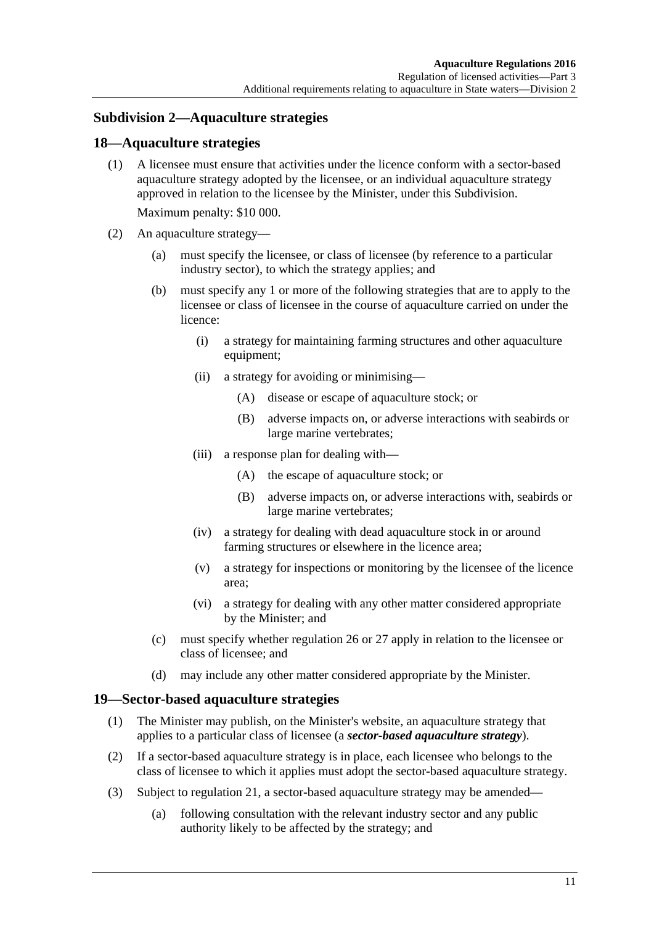### <span id="page-10-0"></span>**Subdivision 2—Aquaculture strategies**

#### <span id="page-10-1"></span>**18—Aquaculture strategies**

(1) A licensee must ensure that activities under the licence conform with a sector-based aquaculture strategy adopted by the licensee, or an individual aquaculture strategy approved in relation to the licensee by the Minister, under this Subdivision.

Maximum penalty: \$10 000.

- (2) An aquaculture strategy—
	- (a) must specify the licensee, or class of licensee (by reference to a particular industry sector), to which the strategy applies; and
	- (b) must specify any 1 or more of the following strategies that are to apply to the licensee or class of licensee in the course of aquaculture carried on under the licence:
		- (i) a strategy for maintaining farming structures and other aquaculture equipment;
		- (ii) a strategy for avoiding or minimising—
			- (A) disease or escape of aquaculture stock; or
			- (B) adverse impacts on, or adverse interactions with seabirds or large marine vertebrates;
		- (iii) a response plan for dealing with—
			- (A) the escape of aquaculture stock; or
			- (B) adverse impacts on, or adverse interactions with, seabirds or large marine vertebrates;
		- (iv) a strategy for dealing with dead aquaculture stock in or around farming structures or elsewhere in the licence area;
		- (v) a strategy for inspections or monitoring by the licensee of the licence area;
		- (vi) a strategy for dealing with any other matter considered appropriate by the Minister; and
	- (c) must specify whether [regulation](#page-14-0) 26 or [27](#page-15-0) apply in relation to the licensee or class of licensee; and
	- (d) may include any other matter considered appropriate by the Minister.

#### <span id="page-10-2"></span>**19—Sector-based aquaculture strategies**

- (1) The Minister may publish, on the Minister's website, an aquaculture strategy that applies to a particular class of licensee (a *sector-based aquaculture strategy*).
- (2) If a sector-based aquaculture strategy is in place, each licensee who belongs to the class of licensee to which it applies must adopt the sector-based aquaculture strategy.
- <span id="page-10-3"></span>(3) Subject to [regulation](#page-11-1) 21, a sector-based aquaculture strategy may be amended—
	- (a) following consultation with the relevant industry sector and any public authority likely to be affected by the strategy; and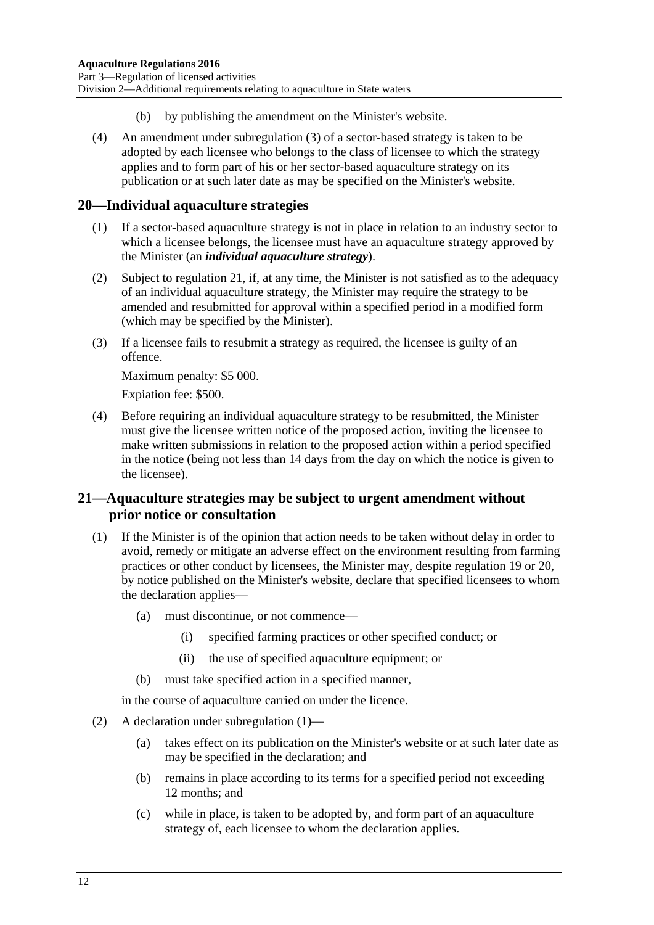- (b) by publishing the amendment on the Minister's website.
- (4) An amendment under [subregulation](#page-10-3) (3) of a sector-based strategy is taken to be adopted by each licensee who belongs to the class of licensee to which the strategy applies and to form part of his or her sector-based aquaculture strategy on its publication or at such later date as may be specified on the Minister's website.

#### <span id="page-11-0"></span>**20—Individual aquaculture strategies**

- (1) If a sector-based aquaculture strategy is not in place in relation to an industry sector to which a licensee belongs, the licensee must have an aquaculture strategy approved by the Minister (an *individual aquaculture strategy*).
- (2) Subject to [regulation](#page-11-1) 21, if, at any time, the Minister is not satisfied as to the adequacy of an individual aquaculture strategy, the Minister may require the strategy to be amended and resubmitted for approval within a specified period in a modified form (which may be specified by the Minister).
- (3) If a licensee fails to resubmit a strategy as required, the licensee is guilty of an offence.

Maximum penalty: \$5 000.

Expiation fee: \$500.

(4) Before requiring an individual aquaculture strategy to be resubmitted, the Minister must give the licensee written notice of the proposed action, inviting the licensee to make written submissions in relation to the proposed action within a period specified in the notice (being not less than 14 days from the day on which the notice is given to the licensee).

#### <span id="page-11-1"></span>**21—Aquaculture strategies may be subject to urgent amendment without prior notice or consultation**

- <span id="page-11-2"></span>(1) If the Minister is of the opinion that action needs to be taken without delay in order to avoid, remedy or mitigate an adverse effect on the environment resulting from farming practices or other conduct by licensees, the Minister may, despite [regulation](#page-10-2) 19 or [20,](#page-11-0) by notice published on the Minister's website, declare that specified licensees to whom the declaration applies—
	- (a) must discontinue, or not commence—
		- (i) specified farming practices or other specified conduct; or
		- (ii) the use of specified aquaculture equipment; or
	- (b) must take specified action in a specified manner,

in the course of aquaculture carried on under the licence.

- (2) A declaration under [subregulation](#page-11-2) (1)—
	- (a) takes effect on its publication on the Minister's website or at such later date as may be specified in the declaration; and
	- (b) remains in place according to its terms for a specified period not exceeding 12 months; and
	- (c) while in place, is taken to be adopted by, and form part of an aquaculture strategy of, each licensee to whom the declaration applies.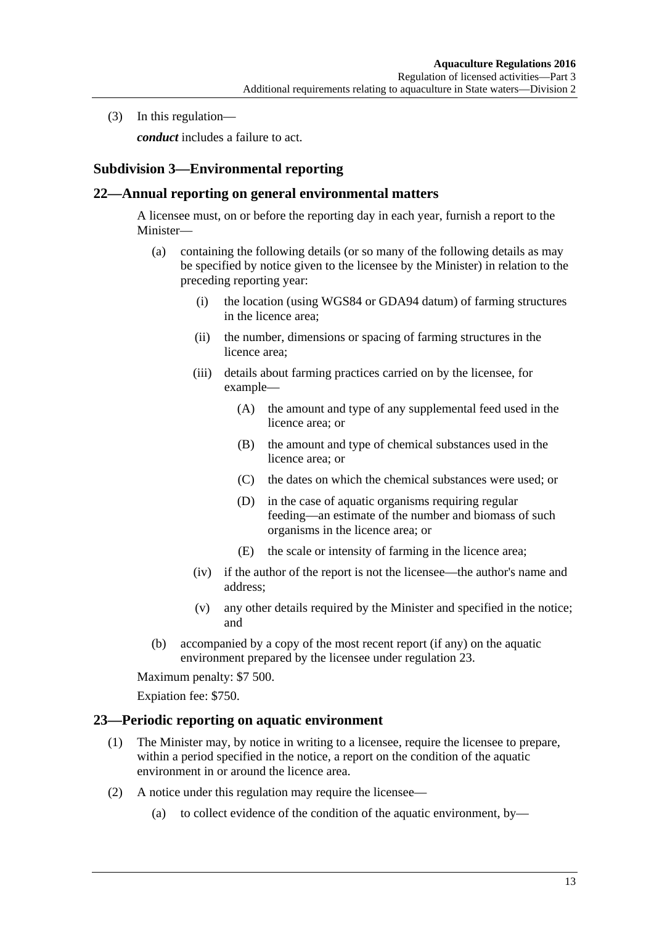(3) In this regulation—

*conduct* includes a failure to act.

## <span id="page-12-0"></span>**Subdivision 3—Environmental reporting**

#### <span id="page-12-1"></span>**22—Annual reporting on general environmental matters**

A licensee must, on or before the reporting day in each year, furnish a report to the Minister—

- (a) containing the following details (or so many of the following details as may be specified by notice given to the licensee by the Minister) in relation to the preceding reporting year:
	- (i) the location (using WGS84 or GDA94 datum) of farming structures in the licence area;
	- (ii) the number, dimensions or spacing of farming structures in the licence area;
	- (iii) details about farming practices carried on by the licensee, for example—
		- (A) the amount and type of any supplemental feed used in the licence area; or
		- (B) the amount and type of chemical substances used in the licence area; or
		- (C) the dates on which the chemical substances were used; or
		- (D) in the case of aquatic organisms requiring regular feeding—an estimate of the number and biomass of such organisms in the licence area; or
		- (E) the scale or intensity of farming in the licence area;
	- (iv) if the author of the report is not the licensee—the author's name and address;
	- (v) any other details required by the Minister and specified in the notice; and
- (b) accompanied by a copy of the most recent report (if any) on the aquatic environment prepared by the licensee under [regulation](#page-12-2) 23.

Maximum penalty: \$7 500.

Expiation fee: \$750.

#### <span id="page-12-4"></span><span id="page-12-2"></span>**23—Periodic reporting on aquatic environment**

- (1) The Minister may, by notice in writing to a licensee, require the licensee to prepare, within a period specified in the notice, a report on the condition of the aquatic environment in or around the licence area.
- <span id="page-12-3"></span>(2) A notice under this regulation may require the licensee—
	- (a) to collect evidence of the condition of the aquatic environment, by—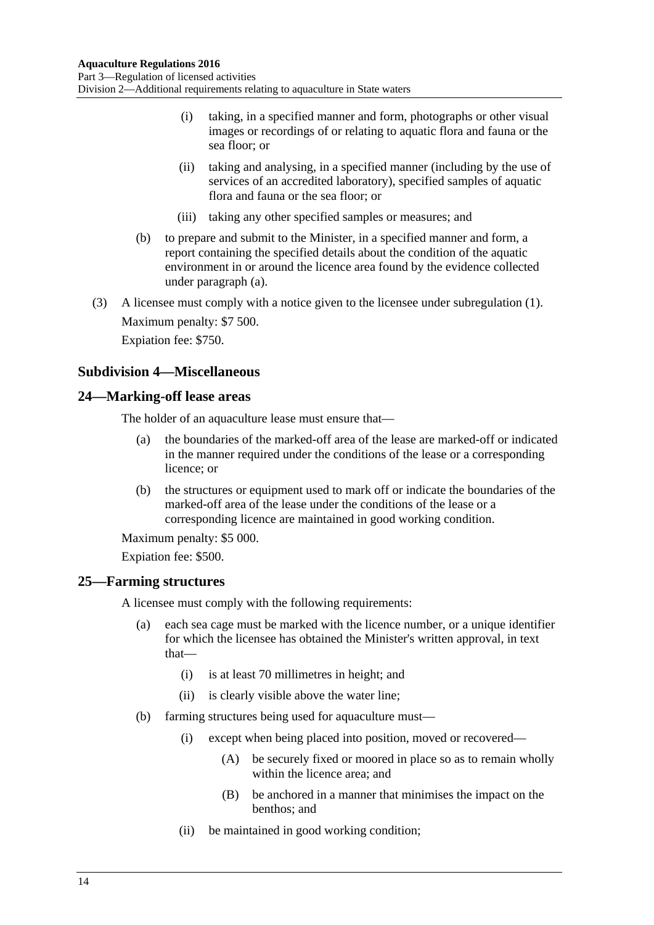- (i) taking, in a specified manner and form, photographs or other visual images or recordings of or relating to aquatic flora and fauna or the sea floor; or
- (ii) taking and analysing, in a specified manner (including by the use of services of an accredited laboratory), specified samples of aquatic flora and fauna or the sea floor; or
- (iii) taking any other specified samples or measures; and
- (b) to prepare and submit to the Minister, in a specified manner and form, a report containing the specified details about the condition of the aquatic environment in or around the licence area found by the evidence collected under [paragraph](#page-12-3) (a).
- (3) A licensee must comply with a notice given to the licensee under [subregulation](#page-12-4) (1). Maximum penalty: \$7 500. Expiation fee: \$750.

### <span id="page-13-0"></span>**Subdivision 4—Miscellaneous**

#### <span id="page-13-1"></span>**24—Marking-off lease areas**

The holder of an aquaculture lease must ensure that—

- (a) the boundaries of the marked-off area of the lease are marked-off or indicated in the manner required under the conditions of the lease or a corresponding licence; or
- (b) the structures or equipment used to mark off or indicate the boundaries of the marked-off area of the lease under the conditions of the lease or a corresponding licence are maintained in good working condition.

Maximum penalty: \$5 000.

Expiation fee: \$500.

#### <span id="page-13-2"></span>**25—Farming structures**

A licensee must comply with the following requirements:

- (a) each sea cage must be marked with the licence number, or a unique identifier for which the licensee has obtained the Minister's written approval, in text that—
	- (i) is at least 70 millimetres in height; and
	- (ii) is clearly visible above the water line;
- (b) farming structures being used for aquaculture must—
	- (i) except when being placed into position, moved or recovered—
		- (A) be securely fixed or moored in place so as to remain wholly within the licence area; and
		- (B) be anchored in a manner that minimises the impact on the benthos; and
	- (ii) be maintained in good working condition;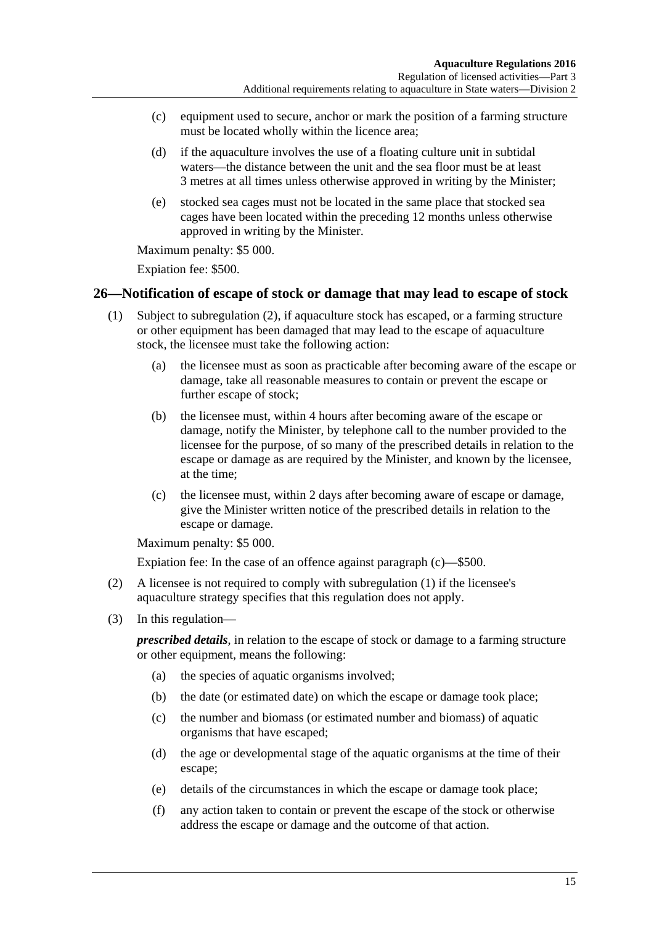- (c) equipment used to secure, anchor or mark the position of a farming structure must be located wholly within the licence area;
- <span id="page-14-4"></span>(d) if the aquaculture involves the use of a floating culture unit in subtidal waters—the distance between the unit and the sea floor must be at least 3 metres at all times unless otherwise approved in writing by the Minister;
- (e) stocked sea cages must not be located in the same place that stocked sea cages have been located within the preceding 12 months unless otherwise approved in writing by the Minister.

Maximum penalty: \$5 000.

Expiation fee: \$500.

#### <span id="page-14-3"></span><span id="page-14-0"></span>**26—Notification of escape of stock or damage that may lead to escape of stock**

- (1) Subject to [subregulation](#page-14-1) (2), if aquaculture stock has escaped, or a farming structure or other equipment has been damaged that may lead to the escape of aquaculture stock, the licensee must take the following action:
	- (a) the licensee must as soon as practicable after becoming aware of the escape or damage, take all reasonable measures to contain or prevent the escape or further escape of stock;
	- (b) the licensee must, within 4 hours after becoming aware of the escape or damage, notify the Minister, by telephone call to the number provided to the licensee for the purpose, of so many of the prescribed details in relation to the escape or damage as are required by the Minister, and known by the licensee, at the time;
	- (c) the licensee must, within 2 days after becoming aware of escape or damage, give the Minister written notice of the prescribed details in relation to the escape or damage.

<span id="page-14-2"></span>Maximum penalty: \$5 000.

Expiation fee: In the case of an offence against [paragraph](#page-14-2) (c)—\$500.

- <span id="page-14-1"></span>(2) A licensee is not required to comply with [subregulation](#page-14-3) (1) if the licensee's aquaculture strategy specifies that this regulation does not apply.
- (3) In this regulation—

*prescribed details*, in relation to the escape of stock or damage to a farming structure or other equipment, means the following:

- (a) the species of aquatic organisms involved;
- (b) the date (or estimated date) on which the escape or damage took place;
- (c) the number and biomass (or estimated number and biomass) of aquatic organisms that have escaped;
- (d) the age or developmental stage of the aquatic organisms at the time of their escape;
- (e) details of the circumstances in which the escape or damage took place;
- (f) any action taken to contain or prevent the escape of the stock or otherwise address the escape or damage and the outcome of that action.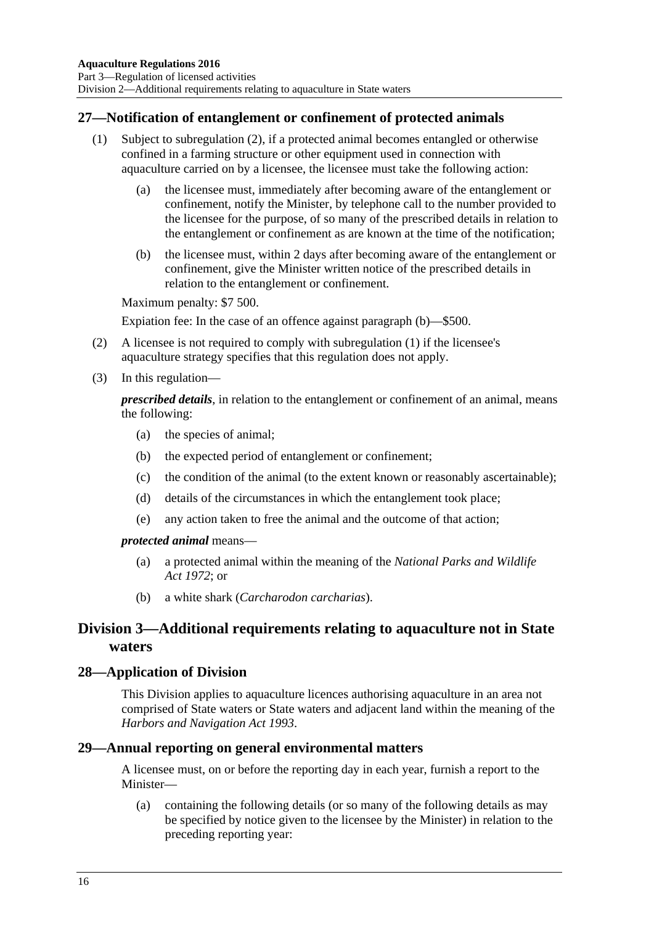### <span id="page-15-0"></span>**27—Notification of entanglement or confinement of protected animals**

- (1) Subject to [subregulation](#page-15-4) (2), if a protected animal becomes entangled or otherwise confined in a farming structure or other equipment used in connection with aquaculture carried on by a licensee, the licensee must take the following action:
	- (a) the licensee must, immediately after becoming aware of the entanglement or confinement, notify the Minister, by telephone call to the number provided to the licensee for the purpose, of so many of the prescribed details in relation to the entanglement or confinement as are known at the time of the notification;
	- (b) the licensee must, within 2 days after becoming aware of the entanglement or confinement, give the Minister written notice of the prescribed details in relation to the entanglement or confinement.

<span id="page-15-5"></span>Maximum penalty: \$7 500.

Expiation fee: In the case of an offence against [paragraph](#page-15-5) (b)—\$500.

- <span id="page-15-4"></span>(2) A licensee is not required to comply with [subregulation](#page-14-3) (1) if the licensee's aquaculture strategy specifies that this regulation does not apply.
- (3) In this regulation—

*prescribed details*, in relation to the entanglement or confinement of an animal, means the following:

- (a) the species of animal;
- (b) the expected period of entanglement or confinement;
- (c) the condition of the animal (to the extent known or reasonably ascertainable);
- (d) details of the circumstances in which the entanglement took place;
- (e) any action taken to free the animal and the outcome of that action;

#### *protected animal* means—

- (a) a protected animal within the meaning of the *[National Parks and Wildlife](http://www.legislation.sa.gov.au/index.aspx?action=legref&type=act&legtitle=National%20Parks%20and%20Wildlife%20Act%201972)  Act [1972](http://www.legislation.sa.gov.au/index.aspx?action=legref&type=act&legtitle=National%20Parks%20and%20Wildlife%20Act%201972)*; or
- (b) a white shark (*Carcharodon carcharias*).

# <span id="page-15-1"></span>**Division 3—Additional requirements relating to aquaculture not in State waters**

#### <span id="page-15-2"></span>**28—Application of Division**

This Division applies to aquaculture licences authorising aquaculture in an area not comprised of State waters or State waters and adjacent land within the meaning of the *[Harbors and Navigation Act](http://www.legislation.sa.gov.au/index.aspx?action=legref&type=act&legtitle=Harbors%20and%20Navigation%20Act%201993) 1993*.

#### <span id="page-15-3"></span>**29—Annual reporting on general environmental matters**

A licensee must, on or before the reporting day in each year, furnish a report to the Minister—

(a) containing the following details (or so many of the following details as may be specified by notice given to the licensee by the Minister) in relation to the preceding reporting year: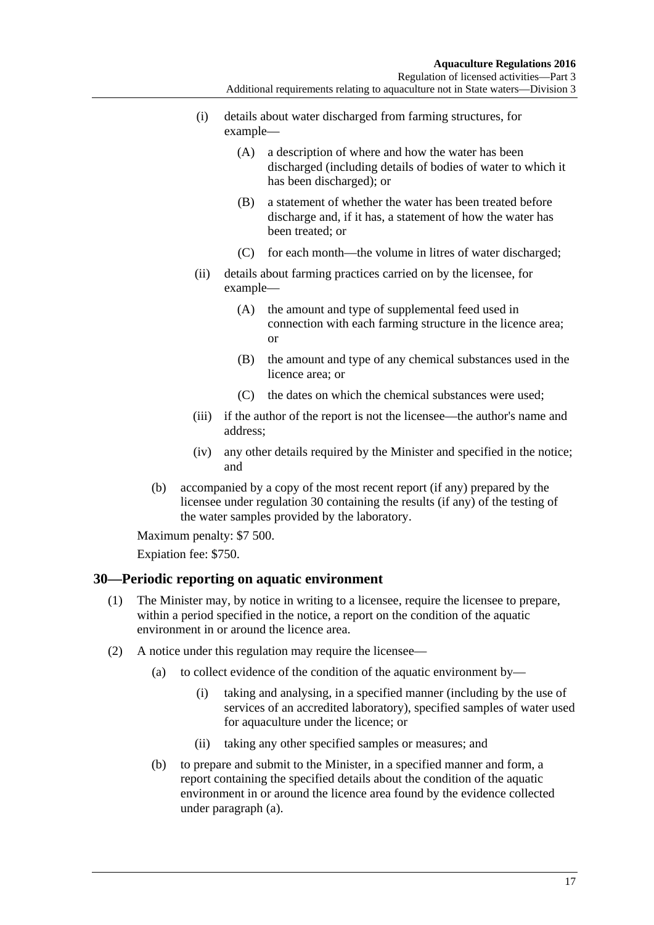- (i) details about water discharged from farming structures, for example—
	- (A) a description of where and how the water has been discharged (including details of bodies of water to which it has been discharged); or
	- (B) a statement of whether the water has been treated before discharge and, if it has, a statement of how the water has been treated; or
	- (C) for each month—the volume in litres of water discharged;
- (ii) details about farming practices carried on by the licensee, for example—
	- (A) the amount and type of supplemental feed used in connection with each farming structure in the licence area; or
	- (B) the amount and type of any chemical substances used in the licence area; or
	- (C) the dates on which the chemical substances were used;
- (iii) if the author of the report is not the licensee—the author's name and address;
- (iv) any other details required by the Minister and specified in the notice; and
- (b) accompanied by a copy of the most recent report (if any) prepared by the licensee under [regulation](#page-16-0) 30 containing the results (if any) of the testing of the water samples provided by the laboratory.

Maximum penalty: \$7 500.

Expiation fee: \$750.

#### <span id="page-16-2"></span><span id="page-16-0"></span>**30—Periodic reporting on aquatic environment**

- (1) The Minister may, by notice in writing to a licensee, require the licensee to prepare, within a period specified in the notice, a report on the condition of the aquatic environment in or around the licence area.
- <span id="page-16-1"></span>(2) A notice under this regulation may require the licensee—
	- (a) to collect evidence of the condition of the aquatic environment by—
		- (i) taking and analysing, in a specified manner (including by the use of services of an accredited laboratory), specified samples of water used for aquaculture under the licence; or
		- (ii) taking any other specified samples or measures; and
	- (b) to prepare and submit to the Minister, in a specified manner and form, a report containing the specified details about the condition of the aquatic environment in or around the licence area found by the evidence collected under [paragraph](#page-16-1) (a).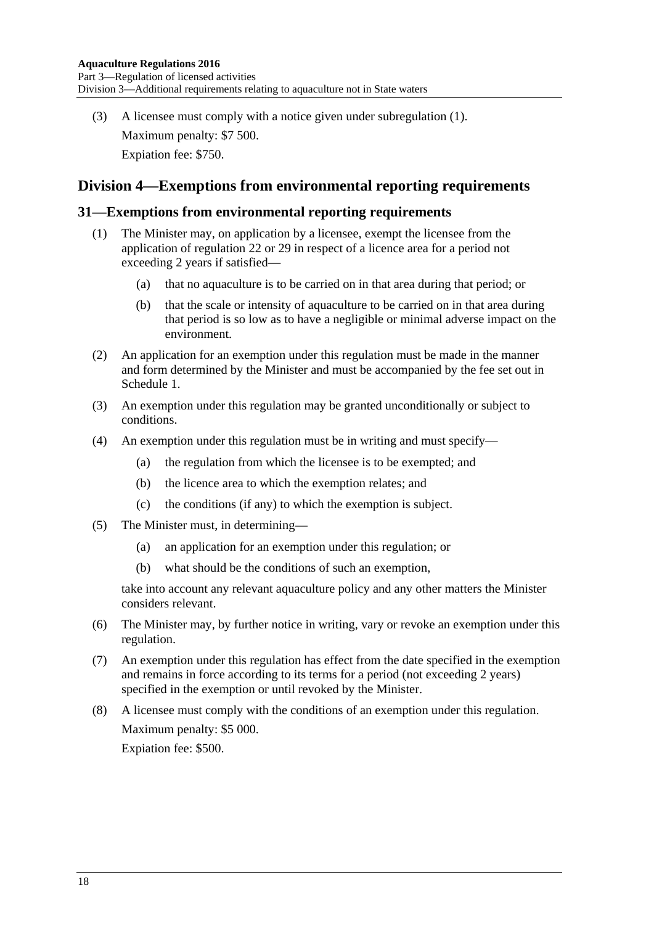(3) A licensee must comply with a notice given under [subregulation](#page-16-2) (1). Maximum penalty: \$7 500. Expiation fee: \$750.

# <span id="page-17-0"></span>**Division 4—Exemptions from environmental reporting requirements**

#### <span id="page-17-1"></span>**31—Exemptions from environmental reporting requirements**

- (1) The Minister may, on application by a licensee, exempt the licensee from the application of [regulation](#page-12-1) 22 or [29](#page-15-3) in respect of a licence area for a period not exceeding 2 years if satisfied—
	- (a) that no aquaculture is to be carried on in that area during that period; or
	- (b) that the scale or intensity of aquaculture to be carried on in that area during that period is so low as to have a negligible or minimal adverse impact on the environment.
- (2) An application for an exemption under this regulation must be made in the manner and form determined by the Minister and must be accompanied by the fee set out in [Schedule](#page-24-0) 1.
- (3) An exemption under this regulation may be granted unconditionally or subject to conditions.
- (4) An exemption under this regulation must be in writing and must specify—
	- (a) the regulation from which the licensee is to be exempted; and
	- (b) the licence area to which the exemption relates; and
	- (c) the conditions (if any) to which the exemption is subject.
- (5) The Minister must, in determining—
	- (a) an application for an exemption under this regulation; or
	- (b) what should be the conditions of such an exemption,

take into account any relevant aquaculture policy and any other matters the Minister considers relevant.

- (6) The Minister may, by further notice in writing, vary or revoke an exemption under this regulation.
- (7) An exemption under this regulation has effect from the date specified in the exemption and remains in force according to its terms for a period (not exceeding 2 years) specified in the exemption or until revoked by the Minister.
- (8) A licensee must comply with the conditions of an exemption under this regulation. Maximum penalty: \$5 000. Expiation fee: \$500.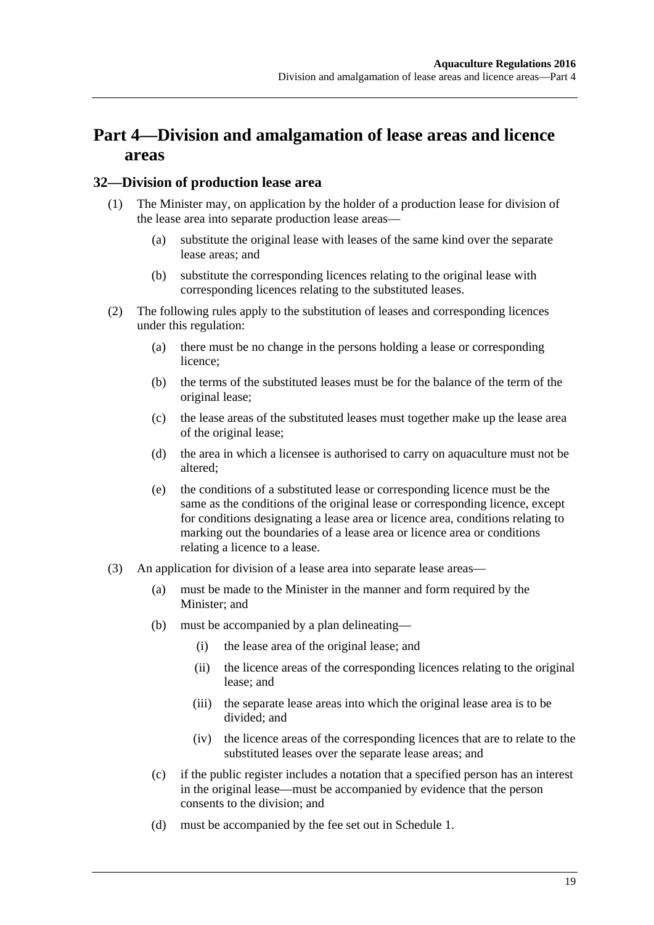# <span id="page-18-0"></span>**Part 4—Division and amalgamation of lease areas and licence areas**

#### <span id="page-18-1"></span>**32—Division of production lease area**

- (1) The Minister may, on application by the holder of a production lease for division of the lease area into separate production lease areas—
	- (a) substitute the original lease with leases of the same kind over the separate lease areas; and
	- (b) substitute the corresponding licences relating to the original lease with corresponding licences relating to the substituted leases.
- (2) The following rules apply to the substitution of leases and corresponding licences under this regulation:
	- (a) there must be no change in the persons holding a lease or corresponding licence;
	- (b) the terms of the substituted leases must be for the balance of the term of the original lease;
	- (c) the lease areas of the substituted leases must together make up the lease area of the original lease;
	- (d) the area in which a licensee is authorised to carry on aquaculture must not be altered;
	- (e) the conditions of a substituted lease or corresponding licence must be the same as the conditions of the original lease or corresponding licence, except for conditions designating a lease area or licence area, conditions relating to marking out the boundaries of a lease area or licence area or conditions relating a licence to a lease.
- (3) An application for division of a lease area into separate lease areas—
	- (a) must be made to the Minister in the manner and form required by the Minister; and
	- (b) must be accompanied by a plan delineating—
		- (i) the lease area of the original lease; and
		- (ii) the licence areas of the corresponding licences relating to the original lease; and
		- (iii) the separate lease areas into which the original lease area is to be divided; and
		- (iv) the licence areas of the corresponding licences that are to relate to the substituted leases over the separate lease areas; and
	- (c) if the public register includes a notation that a specified person has an interest in the original lease—must be accompanied by evidence that the person consents to the division; and
	- (d) must be accompanied by the fee set out in [Schedule](#page-24-0) 1.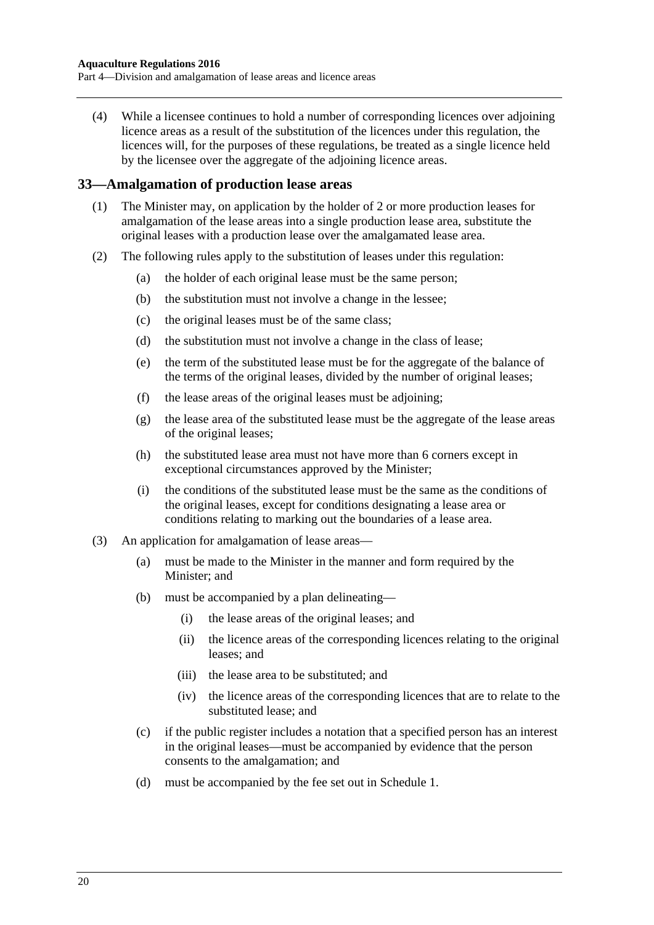(4) While a licensee continues to hold a number of corresponding licences over adjoining licence areas as a result of the substitution of the licences under this regulation, the licences will, for the purposes of these regulations, be treated as a single licence held by the licensee over the aggregate of the adjoining licence areas.

#### <span id="page-19-0"></span>**33—Amalgamation of production lease areas**

- (1) The Minister may, on application by the holder of 2 or more production leases for amalgamation of the lease areas into a single production lease area, substitute the original leases with a production lease over the amalgamated lease area.
- (2) The following rules apply to the substitution of leases under this regulation:
	- (a) the holder of each original lease must be the same person;
	- (b) the substitution must not involve a change in the lessee;
	- (c) the original leases must be of the same class;
	- (d) the substitution must not involve a change in the class of lease;
	- (e) the term of the substituted lease must be for the aggregate of the balance of the terms of the original leases, divided by the number of original leases;
	- (f) the lease areas of the original leases must be adjoining;
	- (g) the lease area of the substituted lease must be the aggregate of the lease areas of the original leases;
	- (h) the substituted lease area must not have more than 6 corners except in exceptional circumstances approved by the Minister;
	- (i) the conditions of the substituted lease must be the same as the conditions of the original leases, except for conditions designating a lease area or conditions relating to marking out the boundaries of a lease area.
- <span id="page-19-1"></span>(3) An application for amalgamation of lease areas—
	- (a) must be made to the Minister in the manner and form required by the Minister; and
	- (b) must be accompanied by a plan delineating—
		- (i) the lease areas of the original leases; and
		- (ii) the licence areas of the corresponding licences relating to the original leases; and
		- (iii) the lease area to be substituted; and
		- (iv) the licence areas of the corresponding licences that are to relate to the substituted lease; and
	- (c) if the public register includes a notation that a specified person has an interest in the original leases—must be accompanied by evidence that the person consents to the amalgamation; and
	- (d) must be accompanied by the fee set out in [Schedule](#page-24-0) 1.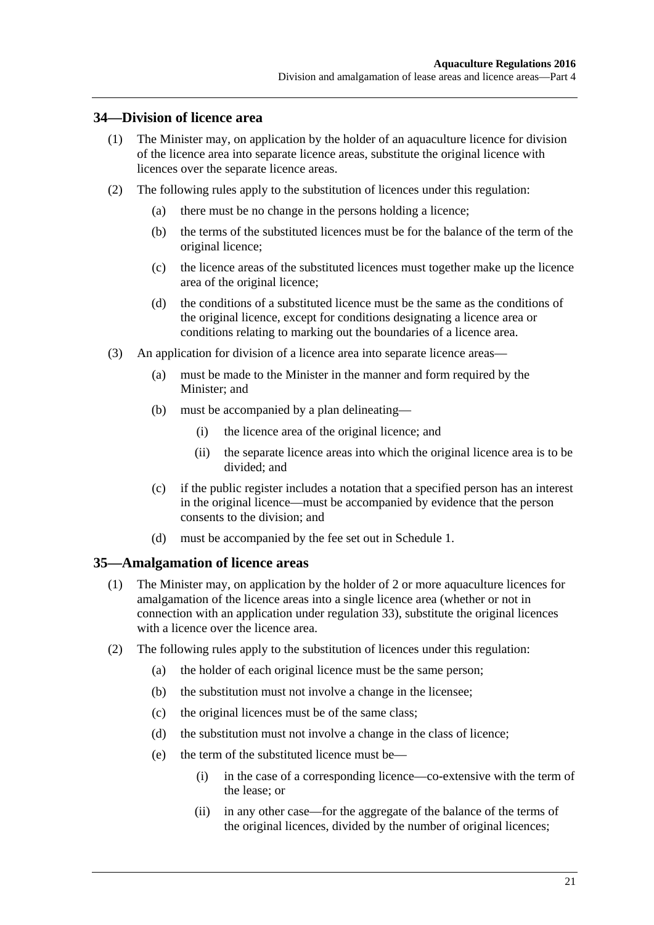#### <span id="page-20-0"></span>**34—Division of licence area**

- (1) The Minister may, on application by the holder of an aquaculture licence for division of the licence area into separate licence areas, substitute the original licence with licences over the separate licence areas.
- (2) The following rules apply to the substitution of licences under this regulation:
	- (a) there must be no change in the persons holding a licence;
	- (b) the terms of the substituted licences must be for the balance of the term of the original licence;
	- (c) the licence areas of the substituted licences must together make up the licence area of the original licence;
	- (d) the conditions of a substituted licence must be the same as the conditions of the original licence, except for conditions designating a licence area or conditions relating to marking out the boundaries of a licence area.
- (3) An application for division of a licence area into separate licence areas—
	- (a) must be made to the Minister in the manner and form required by the Minister; and
	- (b) must be accompanied by a plan delineating—
		- (i) the licence area of the original licence; and
		- (ii) the separate licence areas into which the original licence area is to be divided; and
	- (c) if the public register includes a notation that a specified person has an interest in the original licence—must be accompanied by evidence that the person consents to the division; and
	- (d) must be accompanied by the fee set out in [Schedule](#page-24-0) 1.

#### <span id="page-20-1"></span>**35—Amalgamation of licence areas**

- (1) The Minister may, on application by the holder of 2 or more aquaculture licences for amalgamation of the licence areas into a single licence area (whether or not in connection with an application under [regulation](#page-19-0) 33), substitute the original licences with a licence over the licence area.
- (2) The following rules apply to the substitution of licences under this regulation:
	- (a) the holder of each original licence must be the same person;
	- (b) the substitution must not involve a change in the licensee;
	- (c) the original licences must be of the same class;
	- (d) the substitution must not involve a change in the class of licence;
	- (e) the term of the substituted licence must be—
		- (i) in the case of a corresponding licence—co-extensive with the term of the lease; or
		- (ii) in any other case—for the aggregate of the balance of the terms of the original licences, divided by the number of original licences;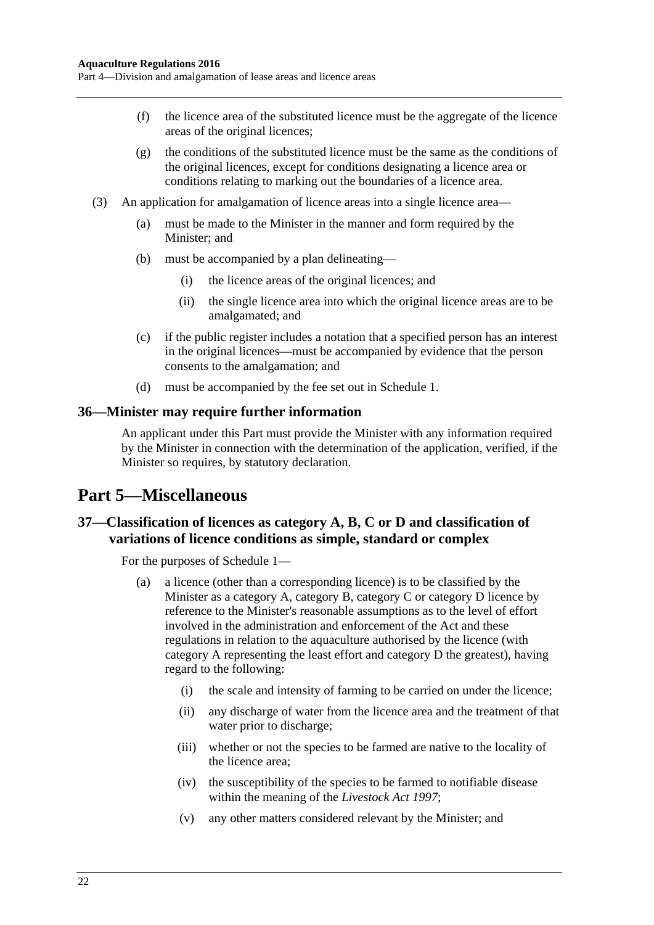- (f) the licence area of the substituted licence must be the aggregate of the licence areas of the original licences;
- (g) the conditions of the substituted licence must be the same as the conditions of the original licences, except for conditions designating a licence area or conditions relating to marking out the boundaries of a licence area.
- (3) An application for amalgamation of licence areas into a single licence area—
	- (a) must be made to the Minister in the manner and form required by the Minister; and
	- (b) must be accompanied by a plan delineating—
		- (i) the licence areas of the original licences; and
		- (ii) the single licence area into which the original licence areas are to be amalgamated; and
	- (c) if the public register includes a notation that a specified person has an interest in the original licences—must be accompanied by evidence that the person consents to the amalgamation; and
	- (d) must be accompanied by the fee set out in [Schedule](#page-24-0) 1.

#### <span id="page-21-0"></span>**36—Minister may require further information**

An applicant under this Part must provide the Minister with any information required by the Minister in connection with the determination of the application, verified, if the Minister so requires, by statutory declaration.

# <span id="page-21-1"></span>**Part 5—Miscellaneous**

### <span id="page-21-2"></span>**37—Classification of licences as category A, B, C or D and classification of variations of licence conditions as simple, standard or complex**

For the purposes of [Schedule](#page-24-0) 1—

- (a) a licence (other than a corresponding licence) is to be classified by the Minister as a category A, category B, category C or category D licence by reference to the Minister's reasonable assumptions as to the level of effort involved in the administration and enforcement of the Act and these regulations in relation to the aquaculture authorised by the licence (with category A representing the least effort and category D the greatest), having regard to the following:
	- (i) the scale and intensity of farming to be carried on under the licence;
	- (ii) any discharge of water from the licence area and the treatment of that water prior to discharge;
	- (iii) whether or not the species to be farmed are native to the locality of the licence area;
	- (iv) the susceptibility of the species to be farmed to notifiable disease within the meaning of the *[Livestock Act](http://www.legislation.sa.gov.au/index.aspx?action=legref&type=act&legtitle=Livestock%20Act%201997) 1997*;
	- (v) any other matters considered relevant by the Minister; and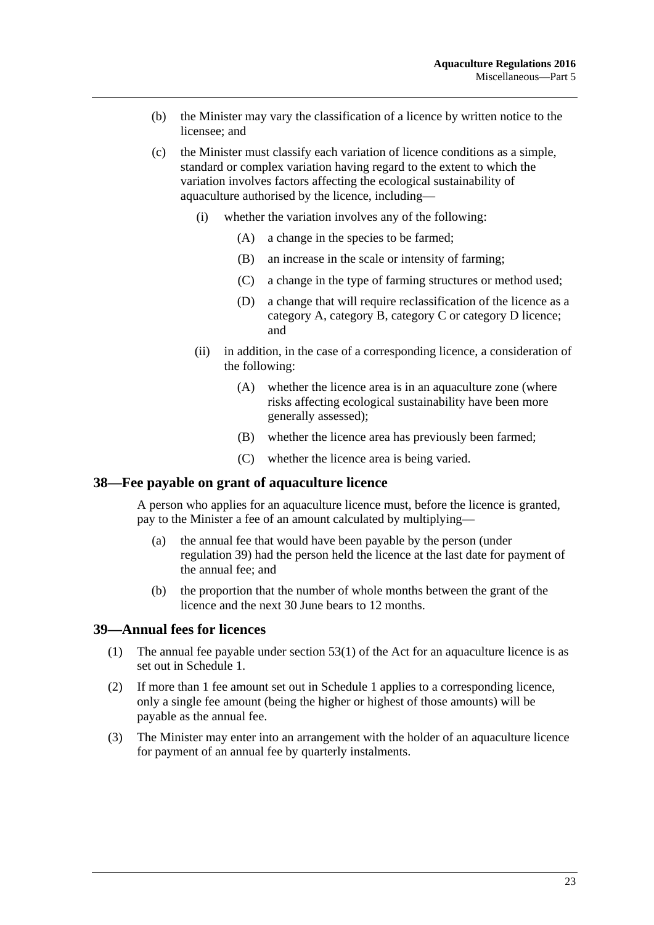- (b) the Minister may vary the classification of a licence by written notice to the licensee; and
- (c) the Minister must classify each variation of licence conditions as a simple, standard or complex variation having regard to the extent to which the variation involves factors affecting the ecological sustainability of aquaculture authorised by the licence, including—
	- (i) whether the variation involves any of the following:
		- (A) a change in the species to be farmed;
		- (B) an increase in the scale or intensity of farming;
		- (C) a change in the type of farming structures or method used;
		- (D) a change that will require reclassification of the licence as a category A, category B, category C or category D licence; and
	- (ii) in addition, in the case of a corresponding licence, a consideration of the following:
		- (A) whether the licence area is in an aquaculture zone (where risks affecting ecological sustainability have been more generally assessed);
		- (B) whether the licence area has previously been farmed;
		- (C) whether the licence area is being varied.

#### <span id="page-22-0"></span>**38—Fee payable on grant of aquaculture licence**

A person who applies for an aquaculture licence must, before the licence is granted, pay to the Minister a fee of an amount calculated by multiplying—

- (a) the annual fee that would have been payable by the person (under [regulation](#page-22-1) 39) had the person held the licence at the last date for payment of the annual fee; and
- (b) the proportion that the number of whole months between the grant of the licence and the next 30 June bears to 12 months.

#### <span id="page-22-1"></span>**39—Annual fees for licences**

- (1) The annual fee payable under section 53(1) of the Act for an aquaculture licence is as set out in [Schedule](#page-24-0) 1.
- (2) If more than 1 fee amount set out in [Schedule](#page-24-0) 1 applies to a corresponding licence, only a single fee amount (being the higher or highest of those amounts) will be payable as the annual fee.
- (3) The Minister may enter into an arrangement with the holder of an aquaculture licence for payment of an annual fee by quarterly instalments.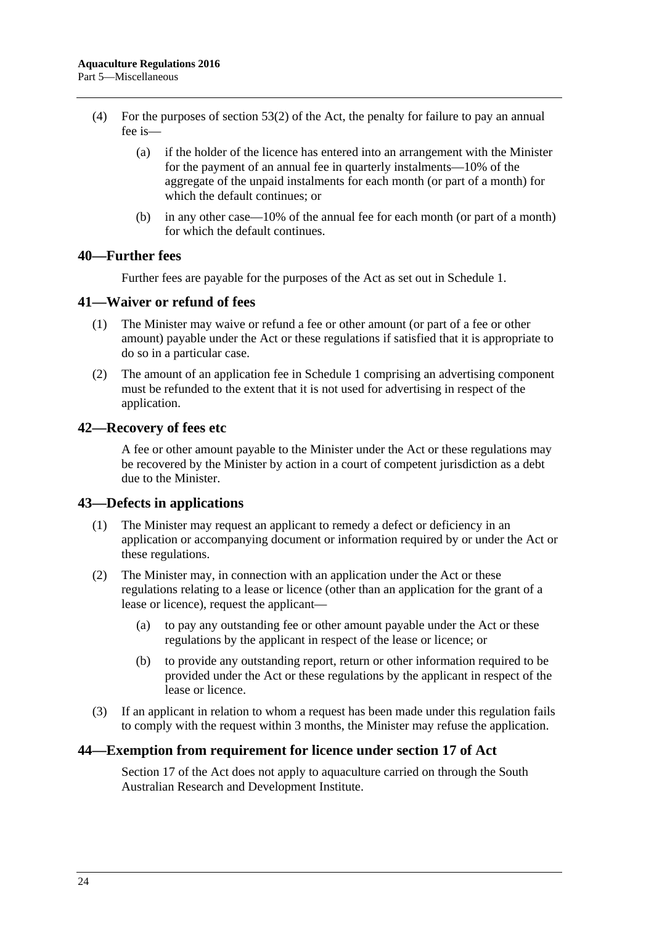- (4) For the purposes of section 53(2) of the Act, the penalty for failure to pay an annual fee is—
	- (a) if the holder of the licence has entered into an arrangement with the Minister for the payment of an annual fee in quarterly instalments—10% of the aggregate of the unpaid instalments for each month (or part of a month) for which the default continues; or
	- (b) in any other case—10% of the annual fee for each month (or part of a month) for which the default continues.

#### <span id="page-23-0"></span>**40—Further fees**

Further fees are payable for the purposes of the Act as set out in [Schedule](#page-24-0) 1.

#### <span id="page-23-1"></span>**41—Waiver or refund of fees**

- (1) The Minister may waive or refund a fee or other amount (or part of a fee or other amount) payable under the Act or these regulations if satisfied that it is appropriate to do so in a particular case.
- (2) The amount of an application fee in [Schedule](#page-24-0) 1 comprising an advertising component must be refunded to the extent that it is not used for advertising in respect of the application.

#### <span id="page-23-2"></span>**42—Recovery of fees etc**

A fee or other amount payable to the Minister under the Act or these regulations may be recovered by the Minister by action in a court of competent jurisdiction as a debt due to the Minister.

#### <span id="page-23-3"></span>**43—Defects in applications**

- (1) The Minister may request an applicant to remedy a defect or deficiency in an application or accompanying document or information required by or under the Act or these regulations.
- (2) The Minister may, in connection with an application under the Act or these regulations relating to a lease or licence (other than an application for the grant of a lease or licence), request the applicant—
	- (a) to pay any outstanding fee or other amount payable under the Act or these regulations by the applicant in respect of the lease or licence; or
	- (b) to provide any outstanding report, return or other information required to be provided under the Act or these regulations by the applicant in respect of the lease or licence.
- (3) If an applicant in relation to whom a request has been made under this regulation fails to comply with the request within 3 months, the Minister may refuse the application.

#### <span id="page-23-4"></span>**44—Exemption from requirement for licence under section 17 of Act**

Section 17 of the Act does not apply to aquaculture carried on through the South Australian Research and Development Institute.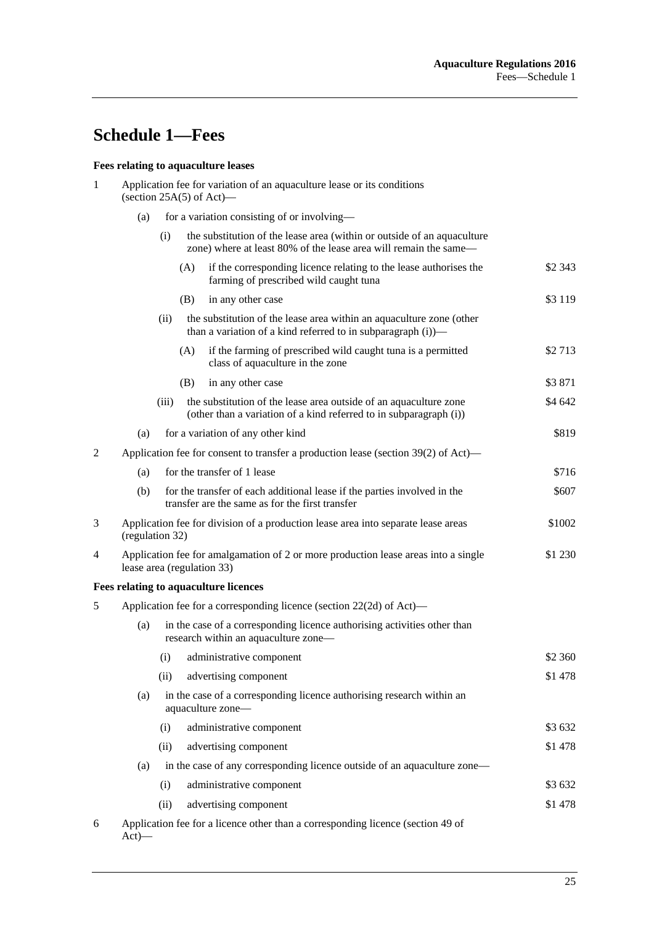# <span id="page-24-0"></span>**Schedule 1—Fees**

### **Fees relating to aquaculture leases**

| 1              | Application fee for variation of an aquaculture lease or its conditions<br>(section $25A(5)$ of Act)— |                                                                                                                             |                                                                                                                                             |                                                                                                                                         |          |  |  |  |  |
|----------------|-------------------------------------------------------------------------------------------------------|-----------------------------------------------------------------------------------------------------------------------------|---------------------------------------------------------------------------------------------------------------------------------------------|-----------------------------------------------------------------------------------------------------------------------------------------|----------|--|--|--|--|
|                | (a)                                                                                                   |                                                                                                                             |                                                                                                                                             | for a variation consisting of or involving—                                                                                             |          |  |  |  |  |
|                |                                                                                                       | (i)                                                                                                                         | the substitution of the lease area (within or outside of an aquaculture<br>zone) where at least 80% of the lease area will remain the same— |                                                                                                                                         |          |  |  |  |  |
|                |                                                                                                       |                                                                                                                             | (A)                                                                                                                                         | if the corresponding licence relating to the lease authorises the<br>farming of prescribed wild caught tuna                             | \$2 343  |  |  |  |  |
|                |                                                                                                       |                                                                                                                             | (B)                                                                                                                                         | in any other case                                                                                                                       | \$3 1 19 |  |  |  |  |
|                |                                                                                                       | (ii)                                                                                                                        |                                                                                                                                             | the substitution of the lease area within an aquaculture zone (other<br>than a variation of a kind referred to in subparagraph (i))—    |          |  |  |  |  |
|                |                                                                                                       |                                                                                                                             | (A)                                                                                                                                         | if the farming of prescribed wild caught tuna is a permitted<br>class of aquaculture in the zone                                        | \$2713   |  |  |  |  |
|                |                                                                                                       |                                                                                                                             | (B)                                                                                                                                         | in any other case                                                                                                                       | \$3871   |  |  |  |  |
|                |                                                                                                       | (iii)                                                                                                                       |                                                                                                                                             | the substitution of the lease area outside of an aquaculture zone<br>(other than a variation of a kind referred to in subparagraph (i)) | \$4 642  |  |  |  |  |
|                | (a)                                                                                                   |                                                                                                                             |                                                                                                                                             | for a variation of any other kind                                                                                                       | \$819    |  |  |  |  |
| $\overline{2}$ | Application fee for consent to transfer a production lease (section 39(2) of Act)—                    |                                                                                                                             |                                                                                                                                             |                                                                                                                                         |          |  |  |  |  |
|                | (a)                                                                                                   |                                                                                                                             |                                                                                                                                             | for the transfer of 1 lease                                                                                                             | \$716    |  |  |  |  |
|                | (b)                                                                                                   |                                                                                                                             |                                                                                                                                             | for the transfer of each additional lease if the parties involved in the<br>transfer are the same as for the first transfer             | \$607    |  |  |  |  |
| 3              |                                                                                                       | (regulation 32)                                                                                                             | Application fee for division of a production lease area into separate lease areas<br>\$1002                                                 |                                                                                                                                         |          |  |  |  |  |
| 4              |                                                                                                       | Application fee for amalgamation of 2 or more production lease areas into a single<br>\$1 230<br>lease area (regulation 33) |                                                                                                                                             |                                                                                                                                         |          |  |  |  |  |
|                |                                                                                                       |                                                                                                                             |                                                                                                                                             | Fees relating to aquaculture licences                                                                                                   |          |  |  |  |  |
| 5              | Application fee for a corresponding licence (section 22(2d) of Act)—                                  |                                                                                                                             |                                                                                                                                             |                                                                                                                                         |          |  |  |  |  |
|                | (a)                                                                                                   | in the case of a corresponding licence authorising activities other than<br>research within an aquaculture zone-            |                                                                                                                                             |                                                                                                                                         |          |  |  |  |  |
|                |                                                                                                       | (i)                                                                                                                         |                                                                                                                                             | administrative component                                                                                                                | \$2 360  |  |  |  |  |
|                |                                                                                                       | (ii)                                                                                                                        |                                                                                                                                             | advertising component                                                                                                                   | \$1478   |  |  |  |  |
|                | (a)                                                                                                   | in the case of a corresponding licence authorising research within an<br>aquaculture zone-                                  |                                                                                                                                             |                                                                                                                                         |          |  |  |  |  |
|                |                                                                                                       | (i)                                                                                                                         |                                                                                                                                             | administrative component                                                                                                                | \$3 632  |  |  |  |  |
|                |                                                                                                       | (ii)                                                                                                                        |                                                                                                                                             | advertising component                                                                                                                   | \$1478   |  |  |  |  |
|                | (a)                                                                                                   | in the case of any corresponding licence outside of an aquaculture zone-                                                    |                                                                                                                                             |                                                                                                                                         |          |  |  |  |  |
|                |                                                                                                       | (i)                                                                                                                         |                                                                                                                                             | administrative component                                                                                                                | \$3 632  |  |  |  |  |
|                |                                                                                                       | (ii)                                                                                                                        |                                                                                                                                             | advertising component                                                                                                                   | \$1478   |  |  |  |  |
| 6              | Application fee for a licence other than a corresponding licence (section 49 of<br>$Act)$ —           |                                                                                                                             |                                                                                                                                             |                                                                                                                                         |          |  |  |  |  |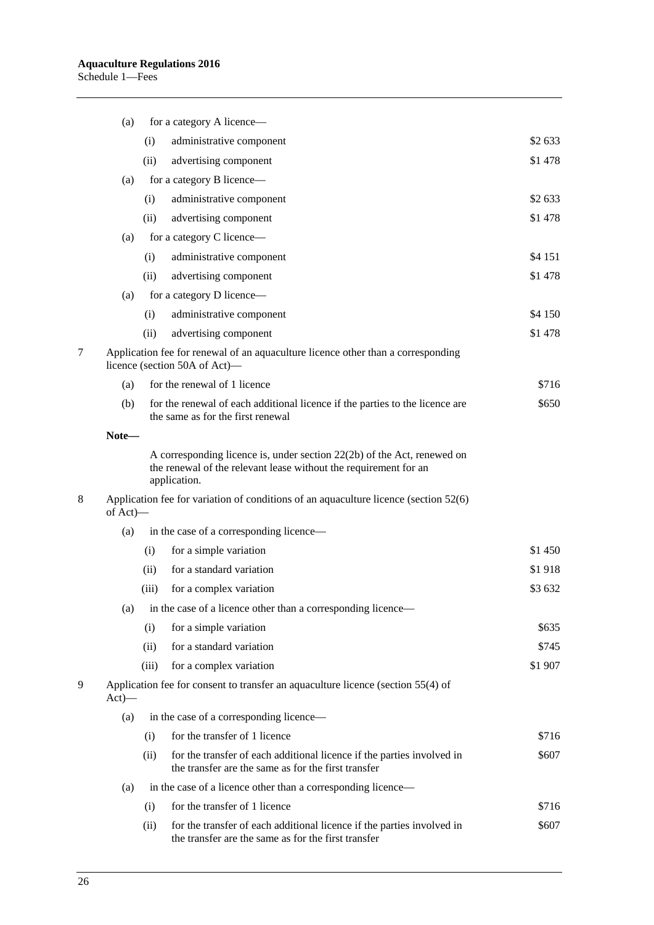| (a)      |                                                              | for a category A licence—                                                                                                                                                                                                                           |         |
|----------|--------------------------------------------------------------|-----------------------------------------------------------------------------------------------------------------------------------------------------------------------------------------------------------------------------------------------------|---------|
|          | (i)                                                          | administrative component                                                                                                                                                                                                                            | \$2 633 |
|          | (ii)                                                         | advertising component                                                                                                                                                                                                                               | \$1478  |
| (a)      |                                                              | for a category B licence—                                                                                                                                                                                                                           |         |
|          | (i)                                                          | administrative component                                                                                                                                                                                                                            | \$2 633 |
|          | (ii)                                                         | advertising component                                                                                                                                                                                                                               | \$1478  |
| (a)      |                                                              | for a category C licence—                                                                                                                                                                                                                           |         |
|          | (i)                                                          | administrative component                                                                                                                                                                                                                            | \$4 151 |
|          | (ii)                                                         | advertising component                                                                                                                                                                                                                               | \$1478  |
| (a)      |                                                              | for a category D licence—                                                                                                                                                                                                                           |         |
|          | (i)                                                          | administrative component                                                                                                                                                                                                                            | \$4 150 |
|          | (ii)                                                         | advertising component                                                                                                                                                                                                                               | \$1478  |
|          |                                                              | Application fee for renewal of an aquaculture licence other than a corresponding<br>licence (section 50A of Act)—                                                                                                                                   |         |
| (a)      |                                                              | for the renewal of 1 licence                                                                                                                                                                                                                        | \$716   |
| (b)      |                                                              | for the renewal of each additional licence if the parties to the licence are<br>the same as for the first renewal                                                                                                                                   | \$650   |
| Note-    |                                                              |                                                                                                                                                                                                                                                     |         |
| of Act)- |                                                              | A corresponding licence is, under section 22(2b) of the Act, renewed on<br>the renewal of the relevant lease without the requirement for an<br>application.<br>Application fee for variation of conditions of an aquaculture licence (section 52(6) |         |
| (a)      |                                                              | in the case of a corresponding licence—                                                                                                                                                                                                             |         |
|          | (i)                                                          | for a simple variation                                                                                                                                                                                                                              | \$1 450 |
|          | (ii)                                                         | for a standard variation                                                                                                                                                                                                                            | \$1918  |
|          | (iii)                                                        | for a complex variation                                                                                                                                                                                                                             | \$3632  |
| (a)      | in the case of a licence other than a corresponding licence- |                                                                                                                                                                                                                                                     |         |
|          | (i)                                                          | for a simple variation                                                                                                                                                                                                                              | \$635   |
|          | (ii)                                                         | for a standard variation                                                                                                                                                                                                                            | \$745   |
|          | (iii)                                                        | for a complex variation                                                                                                                                                                                                                             | \$1 907 |
| $Act)$ — |                                                              | Application fee for consent to transfer an aquaculture licence (section 55(4) of                                                                                                                                                                    |         |
| (a)      |                                                              | in the case of a corresponding licence—                                                                                                                                                                                                             |         |
|          | (i)                                                          | for the transfer of 1 licence                                                                                                                                                                                                                       | \$716   |
|          | (ii)                                                         | for the transfer of each additional licence if the parties involved in<br>the transfer are the same as for the first transfer                                                                                                                       | \$607   |
| (a)      | in the case of a licence other than a corresponding licence— |                                                                                                                                                                                                                                                     |         |
|          | (i)                                                          | for the transfer of 1 licence                                                                                                                                                                                                                       | \$716   |
|          | (ii)                                                         | for the transfer of each additional licence if the parties involved in<br>the transfer are the same as for the first transfer                                                                                                                       | \$607   |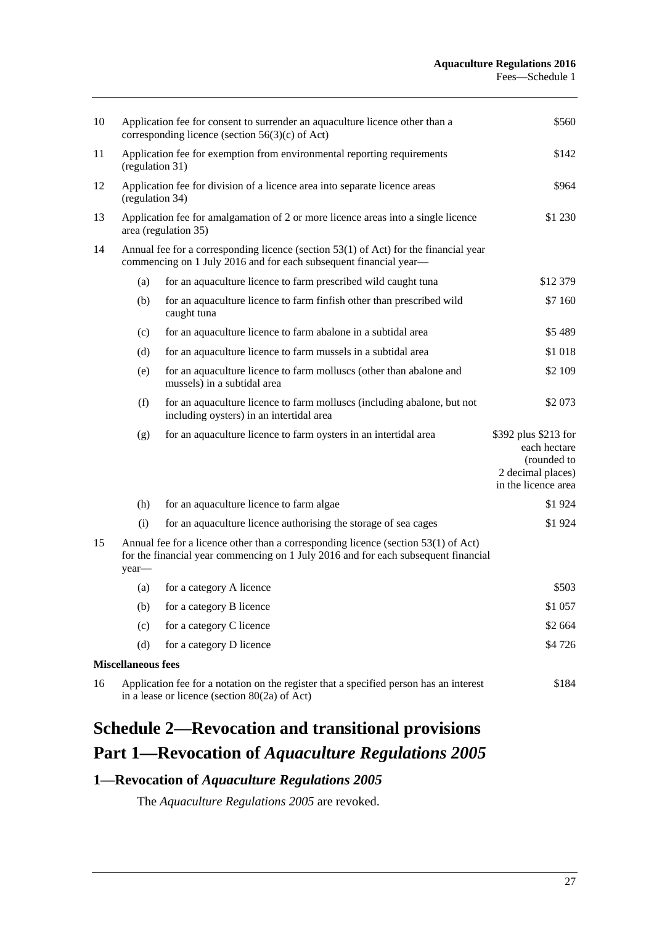| 10 | \$560<br>Application fee for consent to surrender an aquaculture licence other than a<br>corresponding licence (section $56(3)(c)$ of Act)                                          |                                                                                                                     |                                                                                                 |  |  |  |  |  |
|----|-------------------------------------------------------------------------------------------------------------------------------------------------------------------------------------|---------------------------------------------------------------------------------------------------------------------|-------------------------------------------------------------------------------------------------|--|--|--|--|--|
| 11 | Application fee for exemption from environmental reporting requirements<br>(regulation 31)                                                                                          | \$142                                                                                                               |                                                                                                 |  |  |  |  |  |
| 12 |                                                                                                                                                                                     | Application fee for division of a licence area into separate licence areas<br>(regulation 34)                       |                                                                                                 |  |  |  |  |  |
| 13 |                                                                                                                                                                                     | Application fee for amalgamation of 2 or more licence areas into a single licence<br>area (regulation 35)           | \$1 230                                                                                         |  |  |  |  |  |
| 14 | Annual fee for a corresponding licence (section $53(1)$ of Act) for the financial year<br>commencing on 1 July 2016 and for each subsequent financial year-                         |                                                                                                                     |                                                                                                 |  |  |  |  |  |
|    | (a)                                                                                                                                                                                 | for an aquaculture licence to farm prescribed wild caught tuna                                                      | \$12 379                                                                                        |  |  |  |  |  |
|    | (b)                                                                                                                                                                                 | for an aquaculture licence to farm finfish other than prescribed wild<br>caught tuna                                | \$7 160                                                                                         |  |  |  |  |  |
|    | (c)                                                                                                                                                                                 | for an aquaculture licence to farm abalone in a subtidal area                                                       | \$5489                                                                                          |  |  |  |  |  |
|    | (d)                                                                                                                                                                                 | for an aquaculture licence to farm mussels in a subtidal area                                                       | \$1 018                                                                                         |  |  |  |  |  |
|    | (e)                                                                                                                                                                                 | for an aquaculture licence to farm molluscs (other than abalone and<br>mussels) in a subtidal area                  | \$2 109                                                                                         |  |  |  |  |  |
|    | (f)                                                                                                                                                                                 | for an aquaculture licence to farm molluscs (including abalone, but not<br>including oysters) in an intertidal area | \$2073                                                                                          |  |  |  |  |  |
|    | (g)                                                                                                                                                                                 | for an aquaculture licence to farm oysters in an intertidal area                                                    | \$392 plus \$213 for<br>each hectare<br>(rounded to<br>2 decimal places)<br>in the licence area |  |  |  |  |  |
|    | (h)                                                                                                                                                                                 | for an aquaculture licence to farm algae                                                                            | \$1924                                                                                          |  |  |  |  |  |
|    | (i)                                                                                                                                                                                 | for an aquaculture licence authorising the storage of sea cages                                                     | \$1924                                                                                          |  |  |  |  |  |
| 15 | Annual fee for a licence other than a corresponding licence (section $53(1)$ of Act)<br>for the financial year commencing on 1 July 2016 and for each subsequent financial<br>year- |                                                                                                                     |                                                                                                 |  |  |  |  |  |
|    | (a)                                                                                                                                                                                 | for a category A licence                                                                                            | \$503                                                                                           |  |  |  |  |  |
|    | (b)                                                                                                                                                                                 | for a category B licence                                                                                            | \$1 057                                                                                         |  |  |  |  |  |
|    | (c)                                                                                                                                                                                 | for a category C licence                                                                                            | \$2 664                                                                                         |  |  |  |  |  |
|    | (d)                                                                                                                                                                                 | for a category D licence                                                                                            | \$4726                                                                                          |  |  |  |  |  |
|    | <b>Miscellaneous fees</b>                                                                                                                                                           |                                                                                                                     |                                                                                                 |  |  |  |  |  |
| 16 | Application fee for a notation on the register that a specified person has an interest<br>\$184<br>in a lease or licence (section $80(2a)$ of Act)                                  |                                                                                                                     |                                                                                                 |  |  |  |  |  |

# <span id="page-26-0"></span>**Schedule 2—Revocation and transitional provisions Part 1—Revocation of** *Aquaculture Regulations 2005*

# <span id="page-26-1"></span>**1—Revocation of** *Aquaculture Regulations 2005*

The *[Aquaculture Regulations](http://www.legislation.sa.gov.au/index.aspx?action=legref&type=subordleg&legtitle=Aquaculture%20Regulations%202005) 2005* are revoked.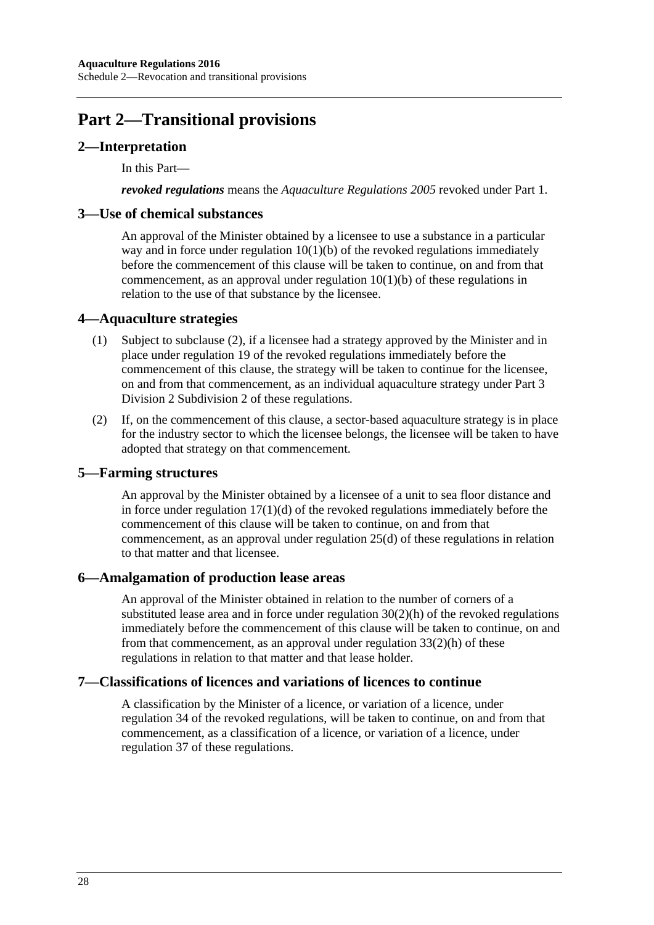# **Part 2—Transitional provisions**

## <span id="page-27-0"></span>**2—Interpretation**

In this Part—

*revoked regulations* means the *[Aquaculture Regulations](http://www.legislation.sa.gov.au/index.aspx?action=legref&type=subordleg&legtitle=Aquaculture%20Regulations%202005) 2005* revoked under Part 1.

#### <span id="page-27-1"></span>**3—Use of chemical substances**

An approval of the Minister obtained by a licensee to use a substance in a particular way and in force under regulation  $10(1)(b)$  of the revoked regulations immediately before the commencement of this clause will be taken to continue, on and from that commencement, as an approval under [regulation](#page-5-6) 10(1)(b) of these regulations in relation to the use of that substance by the licensee.

#### <span id="page-27-2"></span>**4—Aquaculture strategies**

- (1) Subject to [subclause](#page-27-6) (2), if a licensee had a strategy approved by the Minister and in place under regulation 19 of the revoked regulations immediately before the commencement of this clause, the strategy will be taken to continue for the licensee, on and from that commencement, as an individual aquaculture strategy under [Part](#page-10-0) 3 Division [2 Subdivision](#page-10-0) 2 of these regulations.
- <span id="page-27-6"></span>(2) If, on the commencement of this clause, a sector-based aquaculture strategy is in place for the industry sector to which the licensee belongs, the licensee will be taken to have adopted that strategy on that commencement.

#### <span id="page-27-3"></span>**5—Farming structures**

An approval by the Minister obtained by a licensee of a unit to sea floor distance and in force under regulation  $17(1)(d)$  of the revoked regulations immediately before the commencement of this clause will be taken to continue, on and from that commencement, as an approval under [regulation](#page-14-4) 25(d) of these regulations in relation to that matter and that licensee.

#### <span id="page-27-4"></span>**6—Amalgamation of production lease areas**

An approval of the Minister obtained in relation to the number of corners of a substituted lease area and in force under regulation  $30(2)(h)$  of the revoked regulations immediately before the commencement of this clause will be taken to continue, on and from that commencement, as an approval under [regulation](#page-19-1) 33(2)(h) of these regulations in relation to that matter and that lease holder.

#### <span id="page-27-5"></span>**7—Classifications of licences and variations of licences to continue**

A classification by the Minister of a licence, or variation of a licence, under regulation 34 of the revoked regulations, will be taken to continue, on and from that commencement, as a classification of a licence, or variation of a licence, under [regulation](#page-21-2) 37 of these regulations.